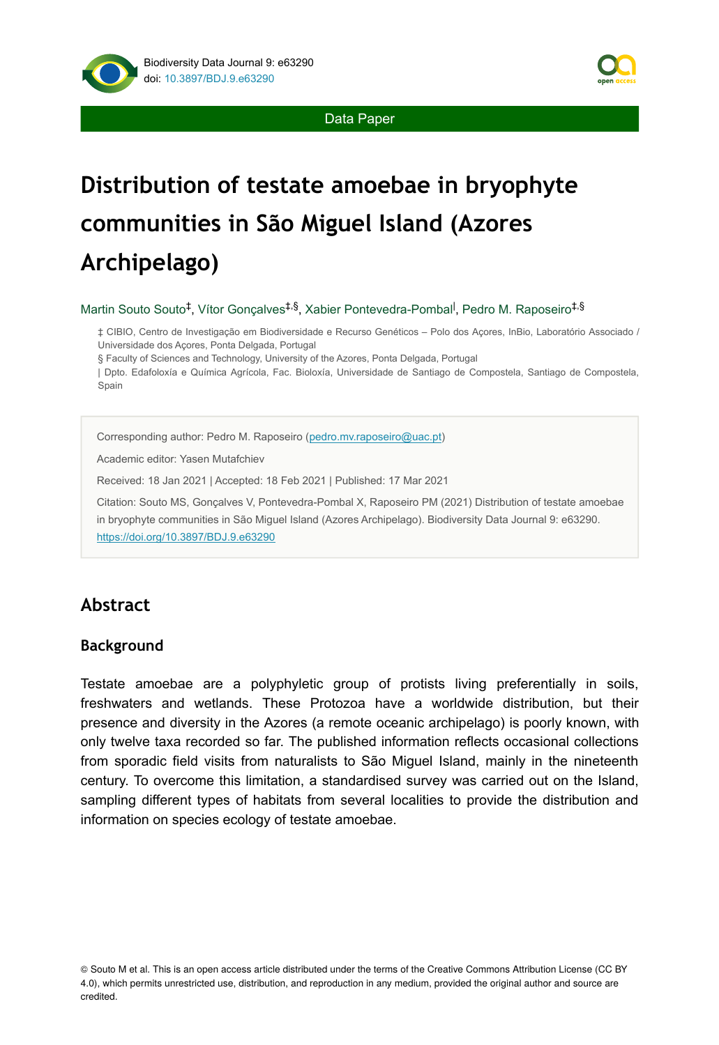

Data Paper

# **Distribution of testate amoebae in bryophyte communities in São Miguel Island (Azores Archipelago)**

Martin Souto Souto<sup>‡</sup>, Vítor Gonçalves<sup>‡,§</sup>, Xabier Pontevedra-Pombal<sup>l</sup>, Pedro M. Raposeiro<sup>‡,§</sup>

‡ CIBIO, Centro de Investigação em Biodiversidade e Recurso Genéticos – Polo dos Açores, InBio, Laboratório Associado / Universidade dos Açores, Ponta Delgada, Portugal

§ Faculty of Sciences and Technology, University of the Azores, Ponta Delgada, Portugal

| Dpto. Edafoloxía e Química Agrícola, Fac. Bioloxía, Universidade de Santiago de Compostela, Santiago de Compostela, Spain

Corresponding author: Pedro M. Raposeiro ([pedro.mv.raposeiro@uac.pt](mailto:pedro.mv.raposeiro@uac.pt))

Academic editor: Yasen Mutafchiev

Received: 18 Jan 2021 | Accepted: 18 Feb 2021 | Published: 17 Mar 2021

Citation: Souto MS, Gonçalves V, Pontevedra-Pombal X, Raposeiro PM (2021) Distribution of testate amoebae in bryophyte communities in São Miguel Island (Azores Archipelago). Biodiversity Data Journal 9: e63290. <https://doi.org/10.3897/BDJ.9.e63290>

# **Abstract**

## **Background**

Testate amoebae are a polyphyletic group of protists living preferentially in soils, freshwaters and wetlands. These Protozoa have a worldwide distribution, but their presence and diversity in the Azores (a remote oceanic archipelago) is poorly known, with only twelve taxa recorded so far. The published information reflects occasional collections from sporadic field visits from naturalists to São Miguel Island, mainly in the nineteenth century. To overcome this limitation, a standardised survey was carried out on the Island, sampling different types of habitats from several localities to provide the distribution and information on species ecology of testate amoebae.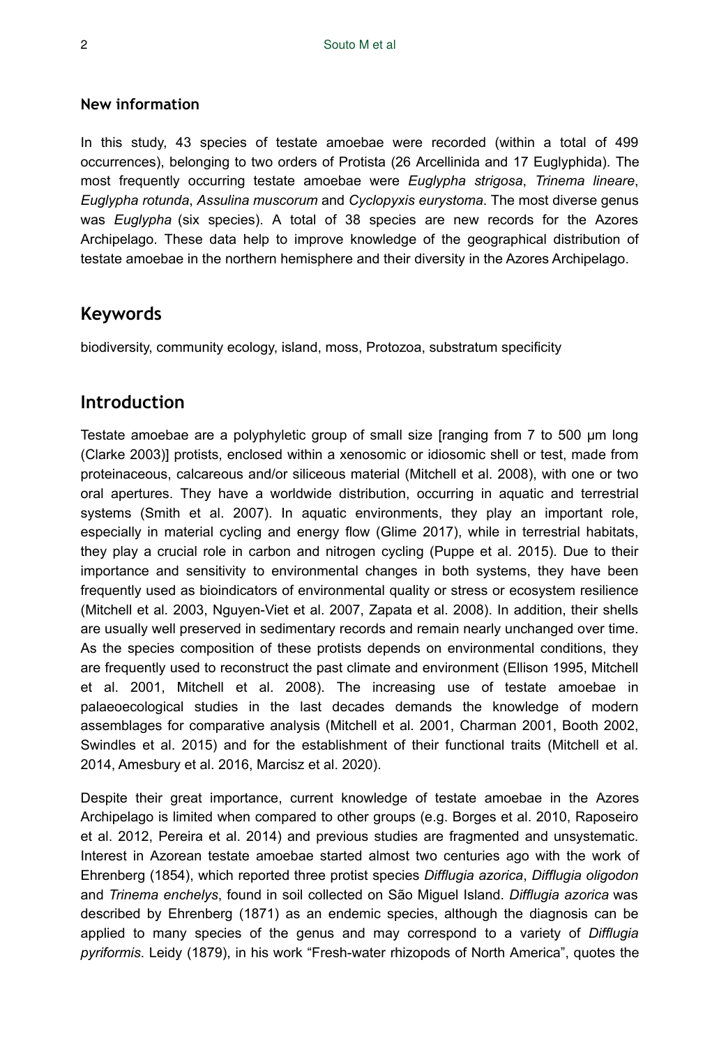#### **New information**

In this study, 43 species of testate amoebae were recorded (within a total of 499 occurrences), belonging to two orders of Protista (26 Arcellinida and 17 Euglyphida). The most frequently occurring testate amoebae were *Euglypha strigosa*, *Trinema lineare*, *Euglypha rotunda*, *Assulina muscorum* and *Cyclopyxis eurystoma*. The most diverse genus was *Euglypha* (six species). A total of 38 species are new records for the Azores Archipelago. These data help to improve knowledge of the geographical distribution of testate amoebae in the northern hemisphere and their diversity in the Azores Archipelago.

## **Keywords**

biodiversity, community ecology, island, moss, Protozoa, substratum specificity

## **Introduction**

Testate amoebae are a polyphyletic group of small size [ranging from 7 to 500 µm long (Clarke 2003)] protists, enclosed within a xenosomic or idiosomic shell or test, made from proteinaceous, calcareous and/or siliceous material (Mitchell et al. 2008), with one or two oral apertures. They have a worldwide distribution, occurring in aquatic and terrestrial systems (Smith et al. 2007). In aquatic environments, they play an important role, especially in material cycling and energy flow (Glime 2017), while in terrestrial habitats, they play a crucial role in carbon and nitrogen cycling (Puppe et al. 2015). Due to their importance and sensitivity to environmental changes in both systems, they have been frequently used as bioindicators of environmental quality or stress or ecosystem resilience (Mitchell et al. 2003, Nguyen-Viet et al. 2007, Zapata et al. 2008). In addition, their shells are usually well preserved in sedimentary records and remain nearly unchanged over time. As the species composition of these protists depends on environmental conditions, they are frequently used to reconstruct the past climate and environment (Ellison 1995, Mitchell et al. 2001, Mitchell et al. 2008). The increasing use of testate amoebae in palaeoecological studies in the last decades demands the knowledge of modern assemblages for comparative analysis (Mitchell et al. 2001, Charman 2001, Booth 2002, Swindles et al. 2015) and for the establishment of their functional traits (Mitchell et al. 2014, Amesbury et al. 2016, Marcisz et al. 2020).

Despite their great importance, current knowledge of testate amoebae in the Azores Archipelago is limited when compared to other groups (e.g. Borges et al. 2010, Raposeiro et al. 2012, Pereira et al. 2014) and previous studies are fragmented and unsystematic. Interest in Azorean testate amoebae started almost two centuries ago with the work of Ehrenberg (1854), which reported three protist species *Difflugia azorica*, *Difflugia oligodon* and *Trinema enchelys*, found in soil collected on São Miguel Island. *Difflugia azorica* was described by Ehrenberg (1871) as an endemic species, although the diagnosis can be applied to many species of the genus and may correspond to a variety of *Difflugia pyriformis*. Leidy (1879), in his work "Fresh-water rhizopods of North America", quotes the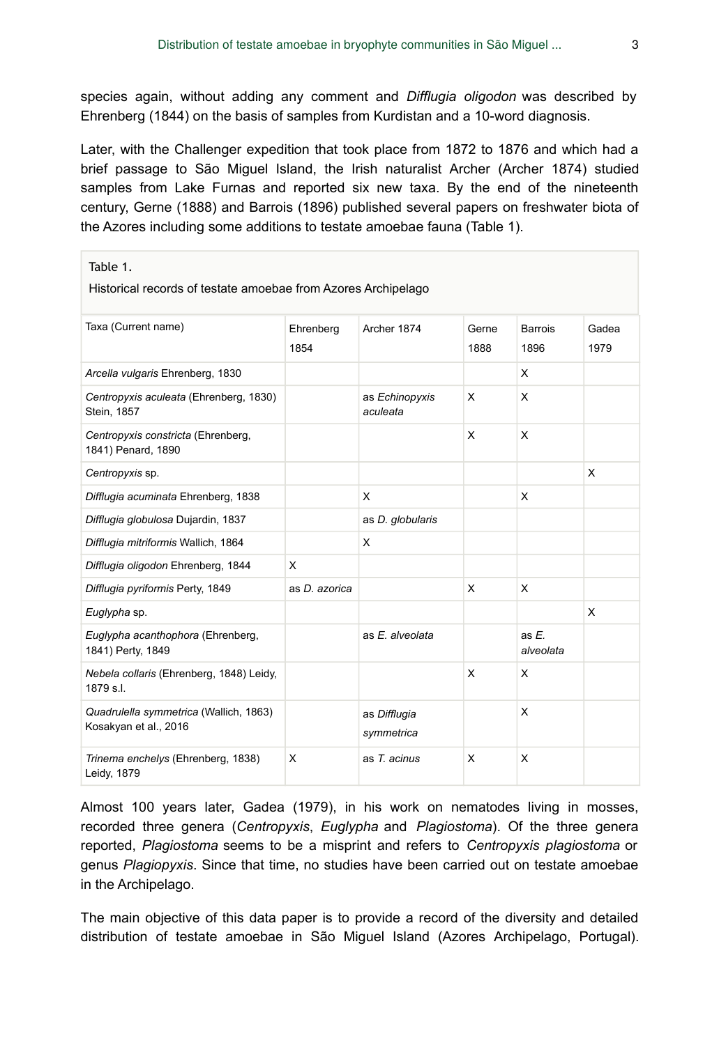species again, without adding any comment and *Difflugia oligodon* was described by Ehrenberg (1844) on the basis of samples from Kurdistan and a 10-word diagnosis.

Later, with the Challenger expedition that took place from 1872 to 1876 and which had a brief passage to São Miguel Island, the Irish naturalist Archer (Archer 1874) studied samples from Lake Furnas and reported six new taxa. By the end of the nineteenth century, Gerne (1888) and Barrois (1896) published several papers on freshwater biota of the Azores including some additions to testate amoebae fauna (Table 1).

| Table 1.                                                        |                   |                            |               |                       |               |
|-----------------------------------------------------------------|-------------------|----------------------------|---------------|-----------------------|---------------|
| Historical records of testate amoebae from Azores Archipelago   |                   |                            |               |                       |               |
| Taxa (Current name)                                             | Ehrenberg<br>1854 | Archer 1874                | Gerne<br>1888 | Barrois<br>1896       | Gadea<br>1979 |
| Arcella vulgaris Ehrenberg, 1830                                |                   |                            |               | X                     |               |
| Centropyxis aculeata (Ehrenberg, 1830)<br>Stein, 1857           |                   | as Echinopyxis<br>aculeata | X             | X                     |               |
| Centropyxis constricta (Ehrenberg,<br>1841) Penard, 1890        |                   |                            | X             | X                     |               |
| Centropyxis sp.                                                 |                   |                            |               |                       | X             |
| Difflugia acuminata Ehrenberg, 1838                             |                   | X                          |               | X                     |               |
| Difflugia globulosa Dujardin, 1837                              |                   | as D. globularis           |               |                       |               |
| Difflugia mitriformis Wallich, 1864                             |                   | X                          |               |                       |               |
| Difflugia oligodon Ehrenberg, 1844                              | X                 |                            |               |                       |               |
| Difflugia pyriformis Perty, 1849                                | as D. azorica     |                            | X             | X                     |               |
| Euglypha sp.                                                    |                   |                            |               |                       | X             |
| Euglypha acanthophora (Ehrenberg,<br>1841) Perty, 1849          |                   | as E. alveolata            |               | as $E$ .<br>alveolata |               |
| Nebela collaris (Ehrenberg, 1848) Leidy,<br>1879 s.l.           |                   |                            | X             | X                     |               |
| Quadrulella symmetrica (Wallich, 1863)<br>Kosakyan et al., 2016 |                   | as Difflugia<br>symmetrica |               | X                     |               |
| Trinema enchelys (Ehrenberg, 1838)<br>Leidy, 1879               | X                 | as T. acinus               | X             | X                     |               |

Almost 100 years later, Gadea (1979), in his work on nematodes living in mosses, recorded three genera (*Centropyxis*, *Euglypha* and *Plagiostoma*). Of the three genera reported, *Plagiostoma* seems to be a misprint and refers to *Centropyxis plagiostoma* or genus *Plagiopyxis*. Since that time, no studies have been carried out on testate amoebae in the Archipelago.

The main objective of this data paper is to provide a record of the diversity and detailed distribution of testate amoebae in São Miguel Island (Azores Archipelago, Portugal).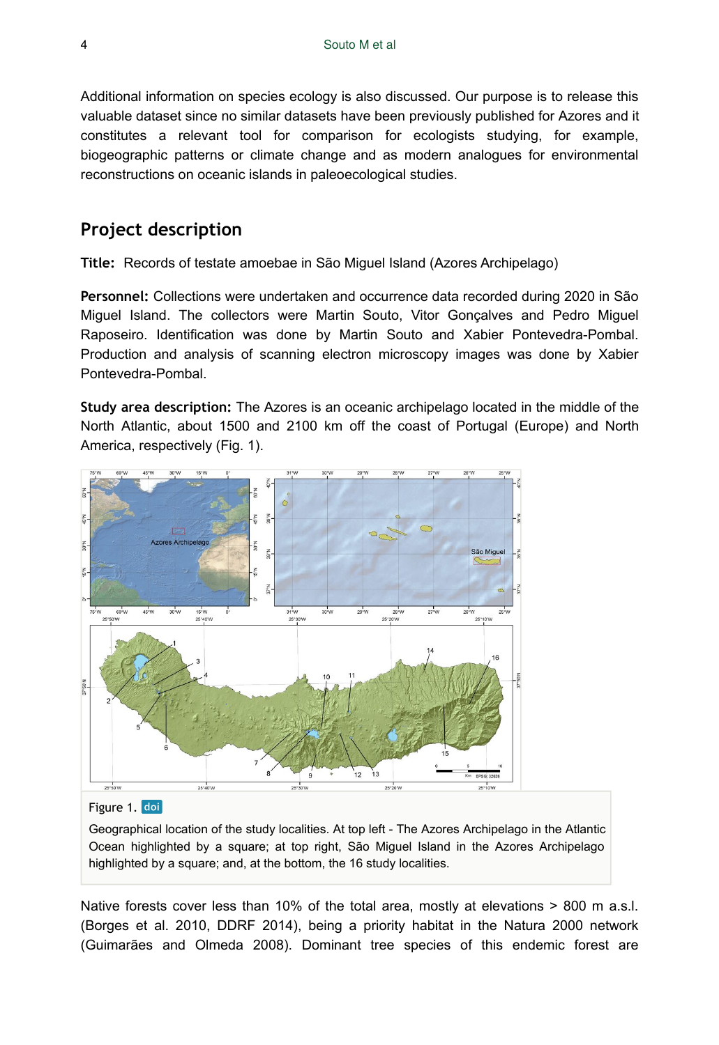Additional information on species ecology is also discussed. Our purpose is to release this valuable dataset since no similar datasets have been previously published for Azores and it constitutes a relevant tool for comparison for ecologists studying, for example, biogeographic patterns or climate change and as modern analogues for environmental reconstructions on oceanic islands in paleoecological studies.

## **Project description**

**Title:** Records of testate amoebae in São Miguel Island (Azores Archipelago)

**Personnel:** Collections were undertaken and occurrence data recorded during 2020 in São Miguel Island. The collectors were Martin Souto, Vitor Gonçalves and Pedro Miguel Raposeiro. Identification was done by Martin Souto and Xabier Pontevedra-Pombal. Production and analysis of scanning electron microscopy images was done by Xabier Pontevedra-Pombal.

**Study area description:** The Azores is an oceanic archipelago located in the middle of the North Atlantic, about 1500 and 2100 km off the coast of Portugal (Europe) and North America, respectively (Fig. 1).



Ocean highlighted by a square; at top right, São Miguel Island in the Azores Archipelago highlighted by a square; and, at the bottom, the 16 study localities.

Native forests cover less than 10% of the total area, mostly at elevations > 800 m a.s.l. (Borges et al. 2010, DDRF 2014), being a priority habitat in the Natura 2000 network (Guimarães and Olmeda 2008). Dominant tree species of this endemic forest are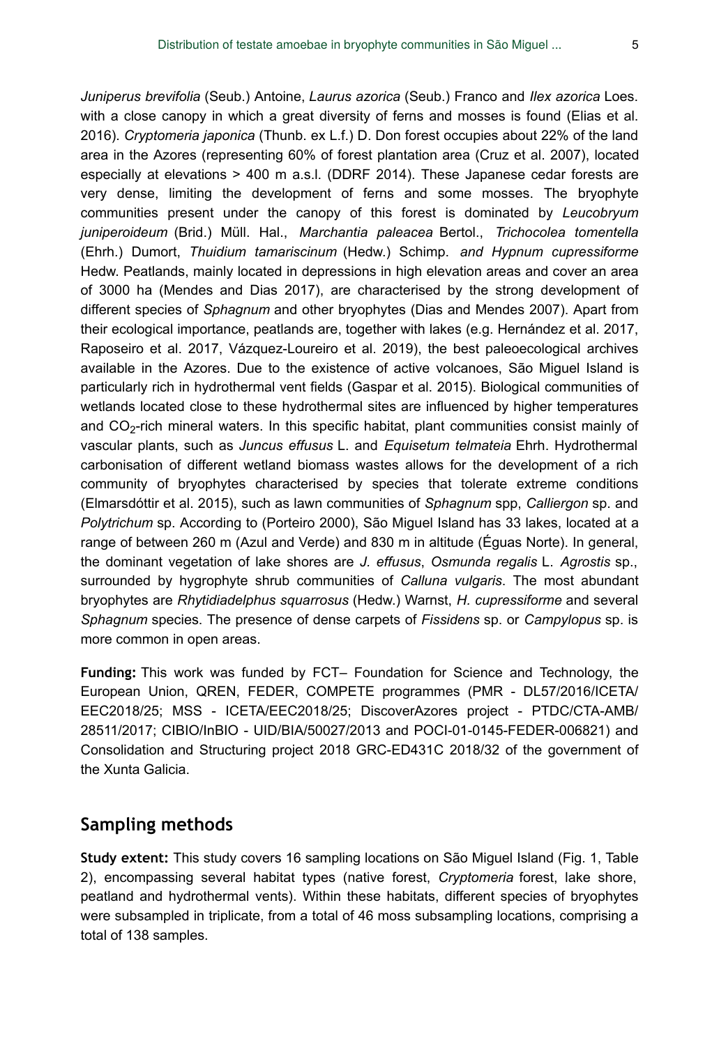*Juniperus brevifolia* (Seub.) Antoine, *Laurus azorica* (Seub.) Franco and *Ilex azorica* Loes. with a close canopy in which a great diversity of ferns and mosses is found (Elias et al. 2016). *Cryptomeria japonica* (Thunb. ex L.f.) D. Don forest occupies about 22% of the land area in the Azores (representing 60% of forest plantation area (Cruz et al. 2007), located especially at elevations > 400 m a.s.l. (DDRF 2014). These Japanese cedar forests are very dense, limiting the development of ferns and some mosses. The bryophyte communities present under the canopy of this forest is dominated by *Leucobryum juniperoideum* (Brid.) Müll. Hal., *Marchantia paleacea* Bertol., *Trichocolea tomentella* (Ehrh.) Dumort, *Thuidium tamariscinum* (Hedw.) Schimp. *and Hypnum cupressiforme* Hedw. Peatlands, mainly located in depressions in high elevation areas and cover an area of 3000 ha (Mendes and Dias 2017), are characterised by the strong development of different species of *Sphagnum* and other bryophytes (Dias and Mendes 2007). Apart from their ecological importance, peatlands are, together with lakes (e.g. Hernández et al. 2017, Raposeiro et al. 2017, Vázquez-Loureiro et al. 2019), the best paleoecological archives available in the Azores. Due to the existence of active volcanoes, São Miguel Island is particularly rich in hydrothermal vent fields (Gaspar et al. 2015). Biological communities of wetlands located close to these hydrothermal sites are influenced by higher temperatures and CO<sub>2</sub>-rich mineral waters. In this specific habitat, plant communities consist mainly of vascular plants, such as *Juncus effusus* L. and *Equisetum telmateia* Ehrh. Hydrothermal carbonisation of different wetland biomass wastes allows for the development of a rich community of bryophytes characterised by species that tolerate extreme conditions (Elmarsdóttir et al. 2015), such as lawn communities of *Sphagnum* spp, *Calliergon* sp. and *Polytrichum* sp. According to (Porteiro 2000), São Miguel Island has 33 lakes, located at a range of between 260 m (Azul and Verde) and 830 m in altitude (Éguas Norte). In general, the dominant vegetation of lake shores are *J. effusus*, *Osmunda regalis* L. *Agrostis* sp., surrounded by hygrophyte shrub communities of *Calluna vulgaris*. The most abundant bryophytes are *Rhytidiadelphus squarrosus* (Hedw.) Warnst, *H. cupressiforme* and several *Sphagnum* species. The presence of dense carpets of *Fissidens* sp. or *Campylopus* sp. is more common in open areas.

**Funding:** This work was funded by FCT– Foundation for Science and Technology, the European Union, QREN, FEDER, COMPETE programmes (PMR - DL57/2016/ICETA/ EEC2018/25; MSS - ICETA/EEC2018/25; DiscoverAzores project - PTDC/CTA-AMB/ 28511/2017; CIBIO/InBIO - UID/BIA/50027/2013 and POCI-01-0145-FEDER-006821) and Consolidation and Structuring project 2018 GRC-ED431C 2018/32 of the government of the Xunta Galicia.

## **Sampling methods**

**Study extent:** This study covers 16 sampling locations on São Miguel Island (Fig. 1, Table 2), encompassing several habitat types (native forest, *Cryptomeria* forest, lake shore, peatland and hydrothermal vents). Within these habitats, different species of bryophytes were subsampled in triplicate, from a total of 46 moss subsampling locations, comprising a total of 138 samples.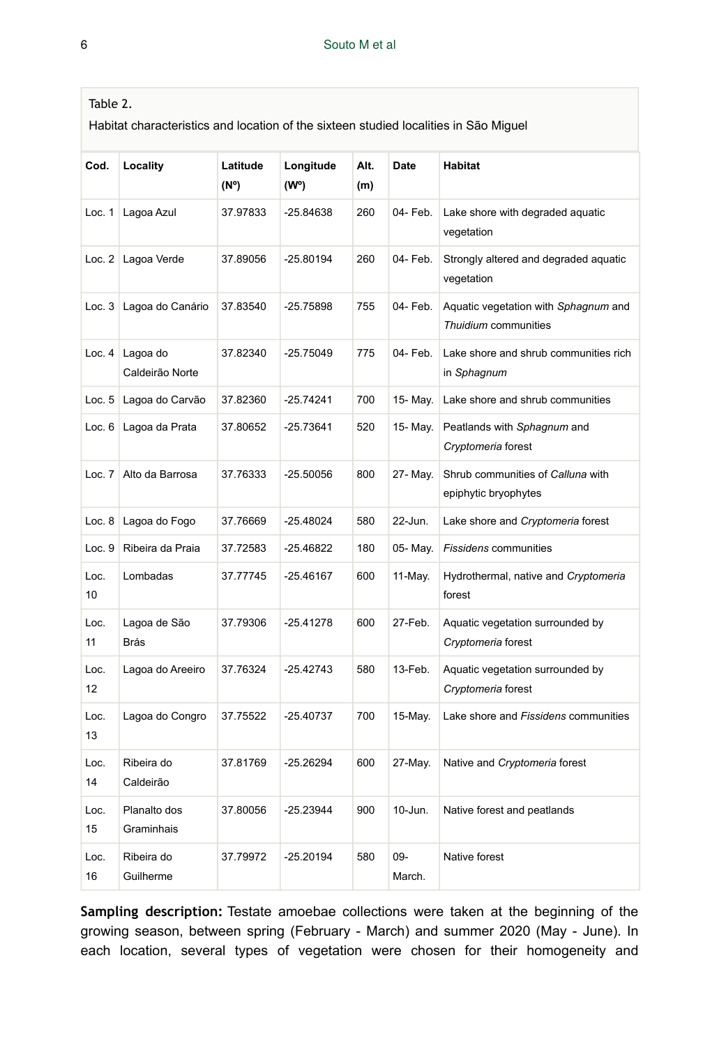|  | Table 2 |  |  |  |
|--|---------|--|--|--|
|--|---------|--|--|--|

Habitat characteristics and location of the sixteen studied localities in São Miguel

| Cod.       | Locality                           | Latitude<br>$(N^{\circ})$ | Longitude<br>(W°) | Alt.<br>(m) | <b>Date</b>   | <b>Habitat</b>                                               |
|------------|------------------------------------|---------------------------|-------------------|-------------|---------------|--------------------------------------------------------------|
| Loc. 1     | Lagoa Azul                         | 37.97833                  | -25.84638         | 260         | 04- Feb.      | Lake shore with degraded aquatic<br>vegetation               |
|            | Loc. 2 Lagoa Verde                 | 37.89056                  | $-25.80194$       | 260         | 04- Feb.      | Strongly altered and degraded aquatic<br>vegetation          |
| Loc.3      | Lagoa do Canário                   | 37.83540                  | $-25.75898$       | 755         | 04- Feb.      | Aquatic vegetation with Sphagnum and<br>Thuidium communities |
|            | Loc. 4 Lagoa do<br>Caldeirão Norte | 37.82340                  | $-25.75049$       | 775         | 04- Feb.      | Lake shore and shrub communities rich<br>in Sphagnum         |
| Loc. 5     | Lagoa do Carvão                    | 37.82360                  | $-25.74241$       | 700         | 15- May.      | Lake shore and shrub communities                             |
| Loc. 6     | Lagoa da Prata                     | 37.80652                  | -25.73641         | 520         | 15- May.      | Peatlands with Sphagnum and<br>Cryptomeria forest            |
| Loc.7      | Alto da Barrosa                    | 37.76333                  | -25.50056         | 800         | 27- May.      | Shrub communities of Calluna with<br>epiphytic bryophytes    |
| Loc. 8     | Lagoa do Fogo                      | 37.76669                  | -25.48024         | 580         | 22-Jun.       | Lake shore and Cryptomeria forest                            |
| Loc.9      | Ribeira da Praia                   | 37.72583                  | $-25.46822$       | 180         | 05- May.      | <b>Fissidens communities</b>                                 |
| Loc.<br>10 | Lombadas                           | 37.77745                  | $-25.46167$       | 600         | 11-May.       | Hydrothermal, native and Cryptomeria<br>forest               |
| Loc.<br>11 | Lagoa de São<br>Brás               | 37.79306                  | $-25.41278$       | 600         | 27-Feb.       | Aquatic vegetation surrounded by<br>Cryptomeria forest       |
| Loc.<br>12 | Lagoa do Areeiro                   | 37.76324                  | $-25.42743$       | 580         | 13-Feb.       | Aquatic vegetation surrounded by<br>Cryptomeria forest       |
| Loc.<br>13 | Lagoa do Congro                    | 37.75522                  | -25.40737         | 700         | 15-May.       | Lake shore and Fissidens communities                         |
| Loc.<br>14 | Ribeira do<br>Caldeirão            | 37.81769                  | $-25.26294$       | 600         | 27-May.       | Native and Cryptomeria forest                                |
| Loc.<br>15 | Planalto dos<br>Graminhais         | 37.80056                  | $-25.23944$       | 900         | 10-Jun.       | Native forest and peatlands                                  |
| Loc.<br>16 | Ribeira do<br>Guilherme            | 37.79972                  | -25.20194         | 580         | 09-<br>March. | Native forest                                                |

**Sampling description:** Testate amoebae collections were taken at the beginning of the growing season, between spring (February - March) and summer 2020 (May - June). In each location, several types of vegetation were chosen for their homogeneity and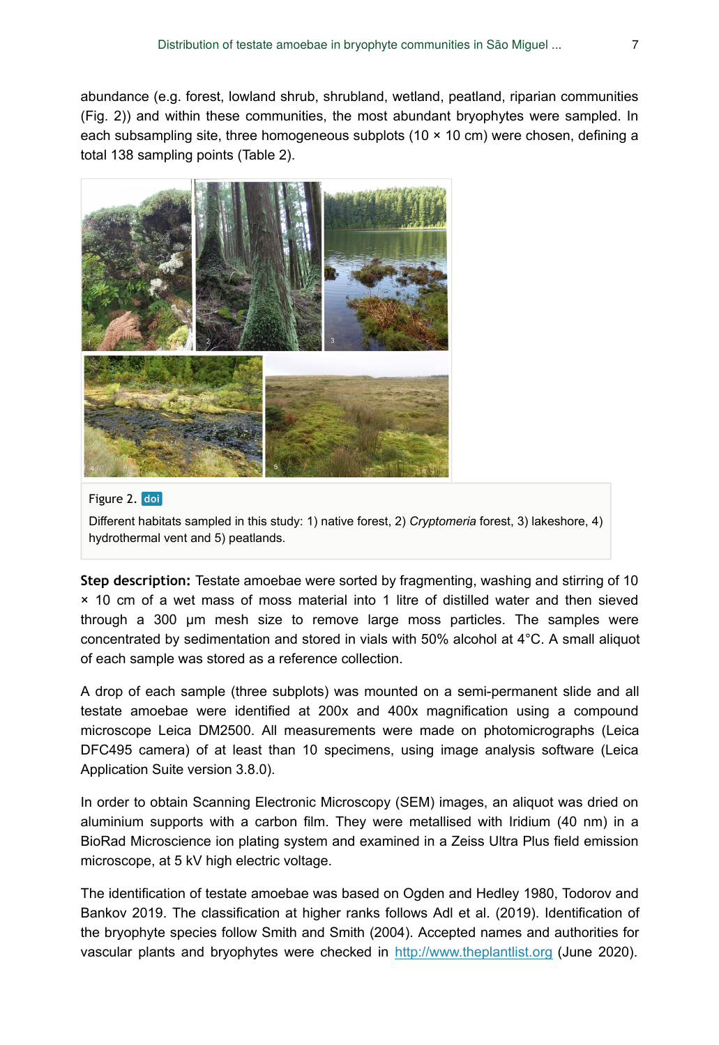abundance (e.g. forest, lowland shrub, shrubland, wetland, peatland, riparian communities (Fig. 2)) and within these communities, the most abundant bryophytes were sampled. In each subsampling site, three homogeneous subplots ( $10 \times 10$  cm) were chosen, defining a total 138 sampling points (Table 2).



#### Figure 2. doi

Different habitats sampled in this study: 1) native forest, 2) *Cryptomeria* forest, 3) lakeshore, 4) hydrothermal vent and 5) peatlands.

**Step description:** Testate amoebae were sorted by fragmenting, washing and stirring of 10 × 10 cm of a wet mass of moss material into 1 litre of distilled water and then sieved through a 300 μm mesh size to remove large moss particles. The samples were concentrated by sedimentation and stored in vials with 50% alcohol at 4°C. A small aliquot of each sample was stored as a reference collection.

A drop of each sample (three subplots) was mounted on a semi-permanent slide and all testate amoebae were identified at 200x and 400x magnification using a compound microscope Leica DM2500. All measurements were made on photomicrographs (Leica DFC495 camera) of at least than 10 specimens, using image analysis software (Leica Application Suite version 3.8.0).

In order to obtain Scanning Electronic Microscopy (SEM) images, an aliquot was dried on aluminium supports with a carbon film. They were metallised with Iridium (40 nm) in a BioRad Microscience ion plating system and examined in a Zeiss Ultra Plus field emission microscope, at 5 kV high electric voltage.

The identification of testate amoebae was based on Ogden and Hedley 1980, Todorov and Bankov 2019. The classification at higher ranks follows Adl et al. (2019). Identification of the bryophyte species follow Smith and Smith (2004). Accepted names and authorities for vascular plants and bryophytes were checked in <http://www.theplantlist.org> (June 2020).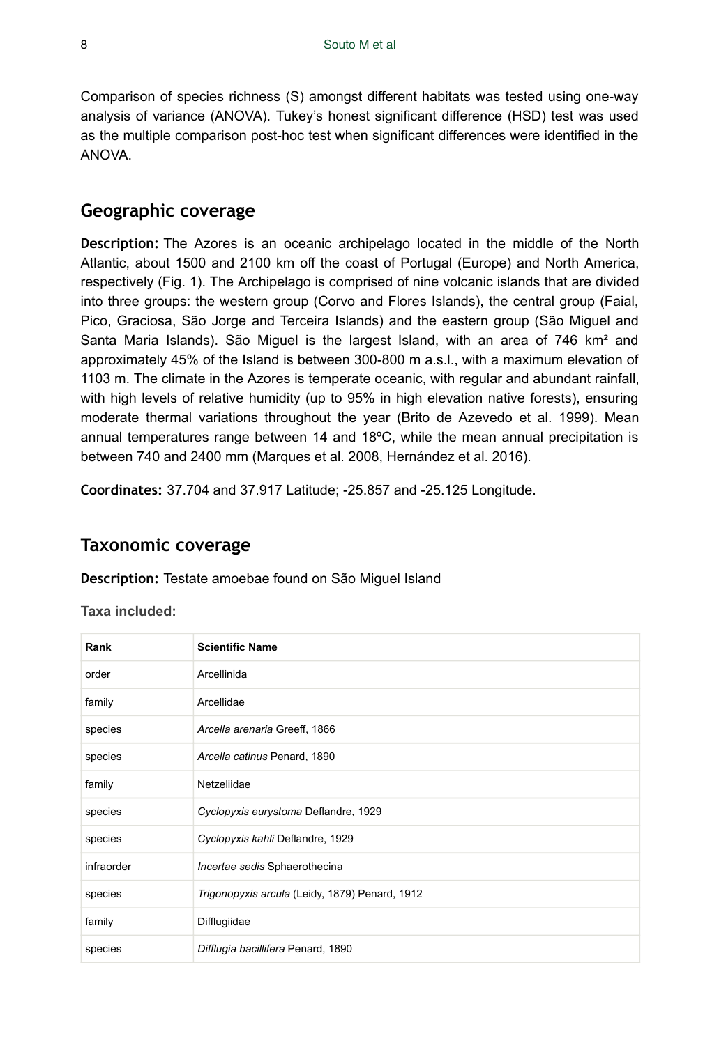Comparison of species richness (S) amongst different habitats was tested using one-way analysis of variance (ANOVA). Tukey's honest significant difference (HSD) test was used as the multiple comparison post-hoc test when significant differences were identified in the ANOVA.

## **Geographic coverage**

**Description:** The Azores is an oceanic archipelago located in the middle of the North Atlantic, about 1500 and 2100 km off the coast of Portugal (Europe) and North America, respectively (Fig. 1). The Archipelago is comprised of nine volcanic islands that are divided into three groups: the western group (Corvo and Flores Islands), the central group (Faial, Pico, Graciosa, São Jorge and Terceira Islands) and the eastern group (São Miguel and Santa Maria Islands). São Miguel is the largest Island, with an area of 746 km² and approximately 45% of the Island is between 300-800 m a.s.l., with a maximum elevation of 1103 m. The climate in the Azores is temperate oceanic, with regular and abundant rainfall, with high levels of relative humidity (up to 95% in high elevation native forests), ensuring moderate thermal variations throughout the year (Brito de Azevedo et al. 1999). Mean annual temperatures range between 14 and 18ºC, while the mean annual precipitation is between 740 and 2400 mm (Marques et al. 2008, Hernández et al. 2016).

**Coordinates:** 37.704 and 37.917 Latitude; -25.857 and -25.125 Longitude.

## **Taxonomic coverage**

**Description:** Testate amoebae found on São Miguel Island

**Taxa included:**

| Rank       | <b>Scientific Name</b>                         |
|------------|------------------------------------------------|
| order      | Arcellinida                                    |
| family     | Arcellidae                                     |
| species    | Arcella arenaria Greeff, 1866                  |
| species    | Arcella catinus Penard, 1890                   |
| family     | Netzeliidae                                    |
| species    | Cyclopyxis eurystoma Deflandre, 1929           |
| species    | Cyclopyxis kahli Deflandre, 1929               |
| infraorder | Incertae sedis Sphaerothecina                  |
| species    | Trigonopyxis arcula (Leidy, 1879) Penard, 1912 |
| family     | Difflugiidae                                   |
| species    | Difflugia bacillifera Penard, 1890             |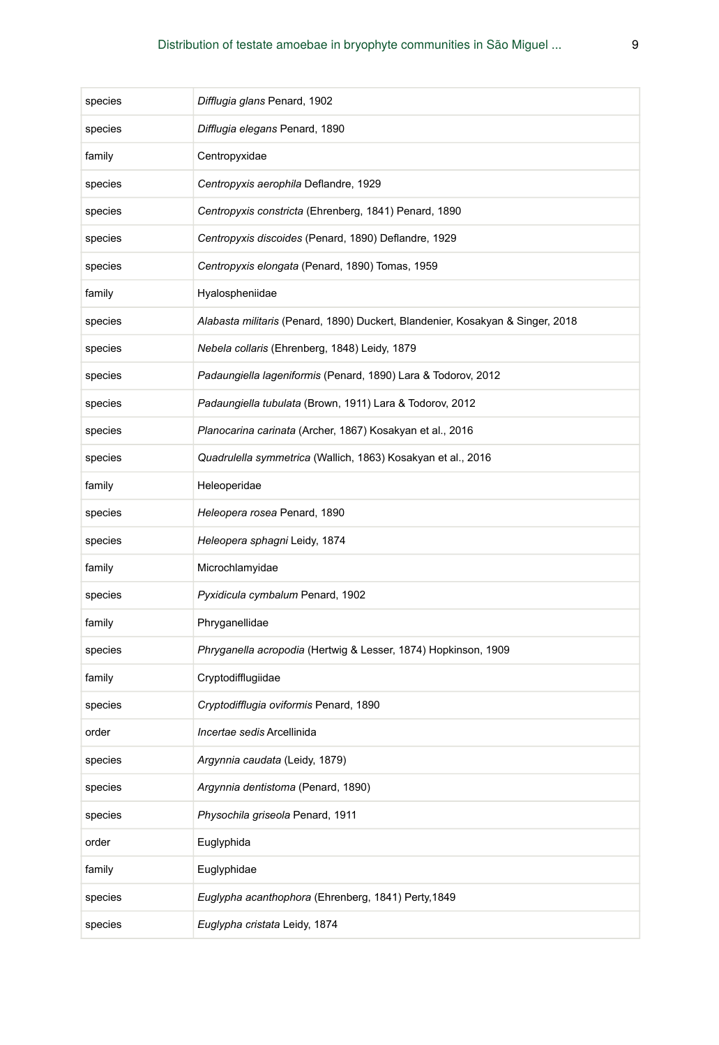| species | Difflugia glans Penard, 1902                                                   |
|---------|--------------------------------------------------------------------------------|
| species | Difflugia elegans Penard, 1890                                                 |
| family  | Centropyxidae                                                                  |
| species | Centropyxis aerophila Deflandre, 1929                                          |
| species | Centropyxis constricta (Ehrenberg, 1841) Penard, 1890                          |
| species | Centropyxis discoides (Penard, 1890) Deflandre, 1929                           |
| species | Centropyxis elongata (Penard, 1890) Tomas, 1959                                |
| family  | Hyalospheniidae                                                                |
| species | Alabasta militaris (Penard, 1890) Duckert, Blandenier, Kosakyan & Singer, 2018 |
| species | Nebela collaris (Ehrenberg, 1848) Leidy, 1879                                  |
| species | Padaungiella lageniformis (Penard, 1890) Lara & Todorov, 2012                  |
| species | Padaungiella tubulata (Brown, 1911) Lara & Todorov, 2012                       |
| species | Planocarina carinata (Archer, 1867) Kosakyan et al., 2016                      |
| species | Quadrulella symmetrica (Wallich, 1863) Kosakyan et al., 2016                   |
| family  | Heleoperidae                                                                   |
| species | Heleopera rosea Penard, 1890                                                   |
| species | Heleopera sphagni Leidy, 1874                                                  |
| family  | Microchlamyidae                                                                |
| species | Pyxidicula cymbalum Penard, 1902                                               |
| family  | Phryganellidae                                                                 |
| species | Phryganella acropodia (Hertwig & Lesser, 1874) Hopkinson, 1909                 |
| family  | Cryptodifflugiidae                                                             |
| species | Cryptodifflugia oviformis Penard, 1890                                         |
| order   | Incertae sedis Arcellinida                                                     |
| species | Argynnia caudata (Leidy, 1879)                                                 |
| species | Argynnia dentistoma (Penard, 1890)                                             |
| species | Physochila griseola Penard, 1911                                               |
| order   | Euglyphida                                                                     |
| family  | Euglyphidae                                                                    |
| species | Euglypha acanthophora (Ehrenberg, 1841) Perty, 1849                            |
| species | Euglypha cristata Leidy, 1874                                                  |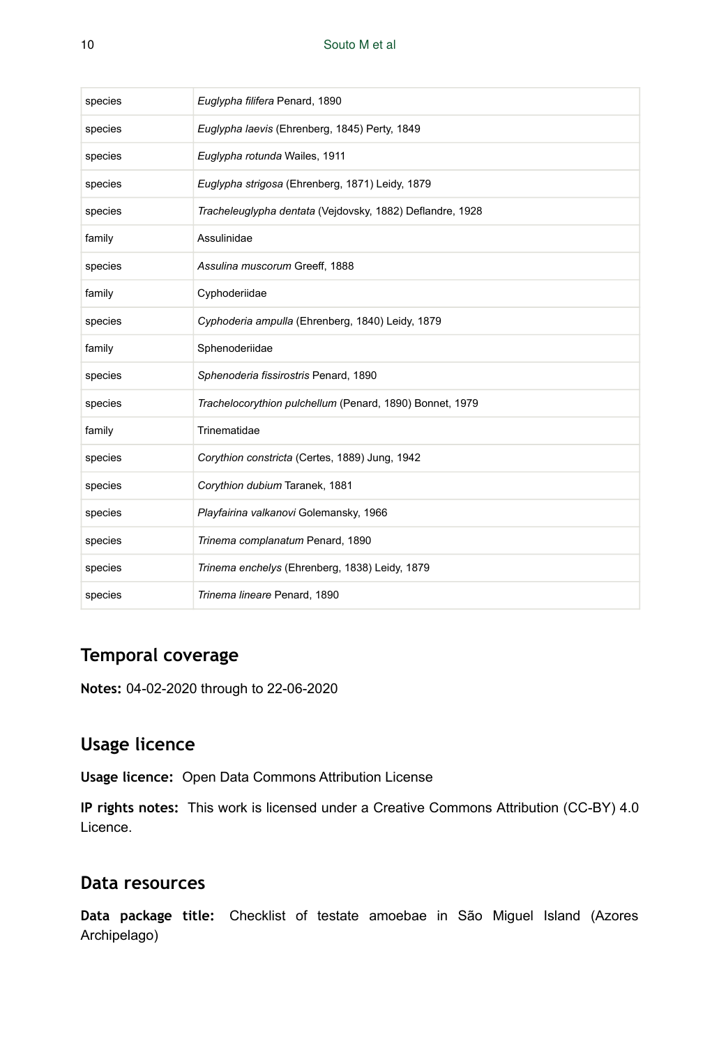| species | Euglypha filifera Penard, 1890                            |
|---------|-----------------------------------------------------------|
| species | Euglypha laevis (Ehrenberg, 1845) Perty, 1849             |
| species | Euglypha rotunda Wailes, 1911                             |
| species | Euglypha strigosa (Ehrenberg, 1871) Leidy, 1879           |
| species | Tracheleuglypha dentata (Vejdovsky, 1882) Deflandre, 1928 |
| family  | Assulinidae                                               |
| species | Assulina muscorum Greeff, 1888                            |
| family  | Cyphoderiidae                                             |
| species | Cyphoderia ampulla (Ehrenberg, 1840) Leidy, 1879          |
| family  | Sphenoderiidae                                            |
| species | Sphenoderia fissirostris Penard, 1890                     |
| species | Trachelocorythion pulchellum (Penard, 1890) Bonnet, 1979  |
| family  | Trinematidae                                              |
| species | Corythion constricta (Certes, 1889) Jung, 1942            |
| species | Corythion dubium Taranek, 1881                            |
| species | Playfairina valkanovi Golemansky, 1966                    |
| species | Trinema complanatum Penard, 1890                          |
| species | Trinema enchelys (Ehrenberg, 1838) Leidy, 1879            |
| species | Trinema lineare Penard, 1890                              |

# **Temporal coverage**

**Notes:** 04-02-2020 through to 22-06-2020

## **Usage licence**

**Usage licence:** Open Data Commons Attribution License

**IP rights notes:** This work is licensed under a Creative Commons Attribution (CC-BY) 4.0 Licence.

## **Data resources**

**Data package title:** Checklist of testate amoebae in São Miguel Island (Azores Archipelago)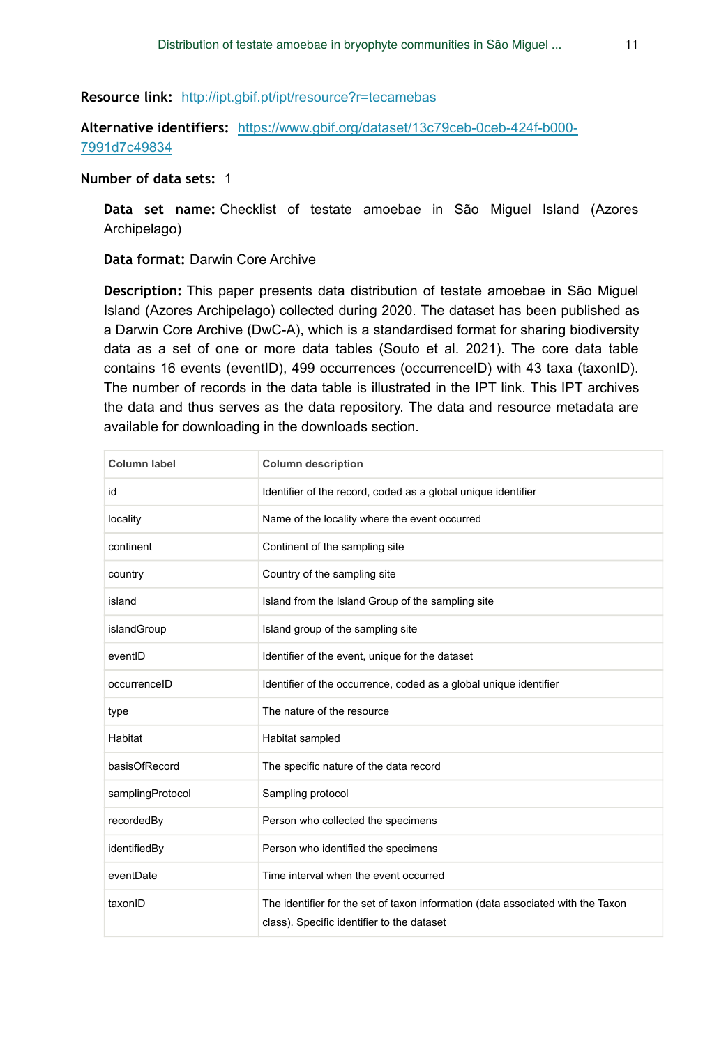**Resource link:** <http://ipt.gbif.pt/ipt/resource?r=tecamebas>

**Alternative identifiers:** [https://www.gbif.org/dataset/13c79ceb-0ceb-424f-b000-](https://www.gbif.org/dataset/13c79ceb-0ceb-424f-b000-7991d7c49834) [7991d7c49834](https://www.gbif.org/dataset/13c79ceb-0ceb-424f-b000-7991d7c49834)

## **Number of data sets:** 1

**Data set name:** Checklist of testate amoebae in São Miguel Island (Azores Archipelago)

**Data format:** Darwin Core Archive

**Description:** This paper presents data distribution of testate amoebae in São Miguel Island (Azores Archipelago) collected during 2020. The dataset has been published as a Darwin Core Archive (DwC-A), which is a standardised format for sharing biodiversity data as a set of one or more data tables (Souto et al. 2021). The core data table contains 16 events (eventID), 499 occurrences (occurrenceID) with 43 taxa (taxonID). The number of records in the data table is illustrated in the IPT link. This IPT archives the data and thus serves as the data repository. The data and resource metadata are available for downloading in the downloads section.

| Column label     | <b>Column description</b>                                                                                                     |
|------------------|-------------------------------------------------------------------------------------------------------------------------------|
| id               | Identifier of the record, coded as a global unique identifier                                                                 |
| locality         | Name of the locality where the event occurred                                                                                 |
| continent        | Continent of the sampling site                                                                                                |
| country          | Country of the sampling site                                                                                                  |
| island           | Island from the Island Group of the sampling site                                                                             |
| islandGroup      | Island group of the sampling site                                                                                             |
| eventID          | Identifier of the event, unique for the dataset                                                                               |
| occurrenceID     | Identifier of the occurrence, coded as a global unique identifier                                                             |
| type             | The nature of the resource                                                                                                    |
| Habitat          | Habitat sampled                                                                                                               |
| basisOfRecord    | The specific nature of the data record                                                                                        |
| samplingProtocol | Sampling protocol                                                                                                             |
| recordedBy       | Person who collected the specimens                                                                                            |
| identifiedBy     | Person who identified the specimens                                                                                           |
| eventDate        | Time interval when the event occurred                                                                                         |
| taxonID          | The identifier for the set of taxon information (data associated with the Taxon<br>class). Specific identifier to the dataset |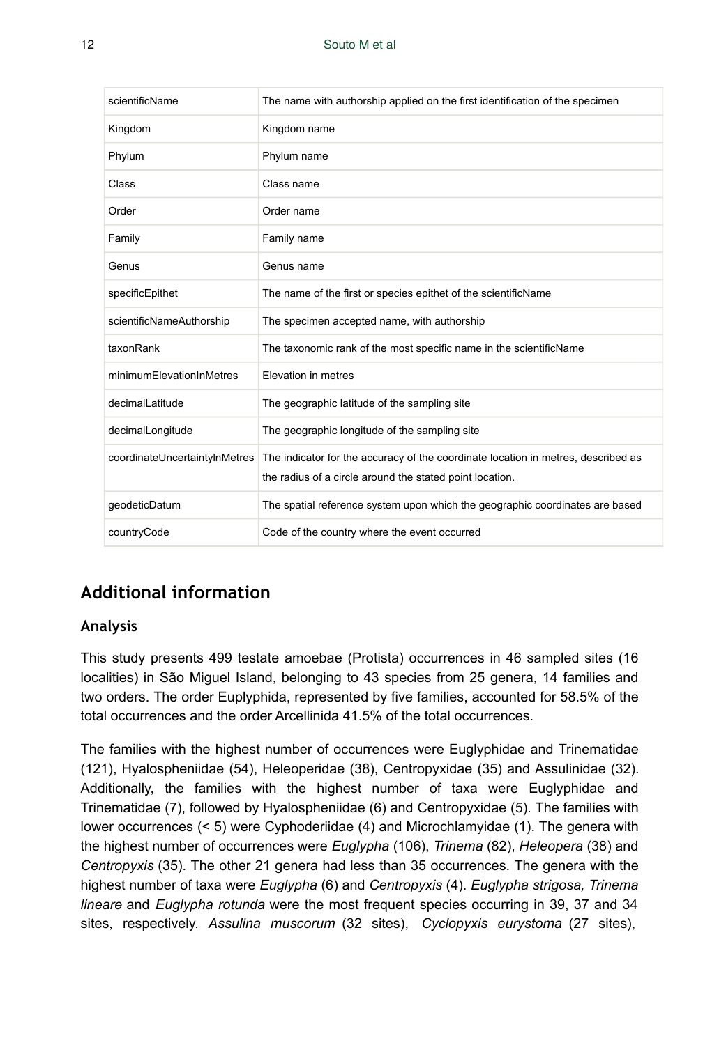| scientificName                | The name with authorship applied on the first identification of the specimen                                                                  |
|-------------------------------|-----------------------------------------------------------------------------------------------------------------------------------------------|
| Kingdom                       | Kingdom name                                                                                                                                  |
| Phylum                        | Phylum name                                                                                                                                   |
| Class                         | Class name                                                                                                                                    |
| Order                         | Order name                                                                                                                                    |
| Family                        | Family name                                                                                                                                   |
| Genus                         | Genus name                                                                                                                                    |
| specificEpithet               | The name of the first or species epithet of the scientificName                                                                                |
| scientificNameAuthorship      | The specimen accepted name, with authorship                                                                                                   |
| taxonRank                     | The taxonomic rank of the most specific name in the scientificName                                                                            |
| minimumElevationInMetres      | Elevation in metres                                                                                                                           |
| decimalLatitude               | The geographic latitude of the sampling site                                                                                                  |
| decimalLongitude              | The geographic longitude of the sampling site                                                                                                 |
| coordinateUncertaintyInMetres | The indicator for the accuracy of the coordinate location in metres, described as<br>the radius of a circle around the stated point location. |
| geodeticDatum                 | The spatial reference system upon which the geographic coordinates are based                                                                  |
| countryCode                   | Code of the country where the event occurred                                                                                                  |

# **Additional information**

## **Analysis**

This study presents 499 testate amoebae (Protista) occurrences in 46 sampled sites (16 localities) in São Miguel Island, belonging to 43 species from 25 genera, 14 families and two orders. The order Euplyphida, represented by five families, accounted for 58.5% of the total occurrences and the order Arcellinida 41.5% of the total occurrences.

The families with the highest number of occurrences were Euglyphidae and Trinematidae (121), Hyalospheniidae (54), Heleoperidae (38), Centropyxidae (35) and Assulinidae (32). Additionally, the families with the highest number of taxa were Euglyphidae and Trinematidae (7), followed by Hyalospheniidae (6) and Centropyxidae (5). The families with lower occurrences (< 5) were Cyphoderiidae (4) and Microchlamyidae (1). The genera with the highest number of occurrences were *Euglypha* (106), *Trinema* (82), *Heleopera* (38) and *Centropyxis* (35). The other 21 genera had less than 35 occurrences. The genera with the highest number of taxa were *Euglypha* (6) and *Centropyxis* (4). *Euglypha strigosa, Trinema lineare* and *Euglypha rotunda* were the most frequent species occurring in 39, 37 and 34 sites, respectively. *Assulina muscorum* (32 sites), *Cyclopyxis eurystoma* (27 sites),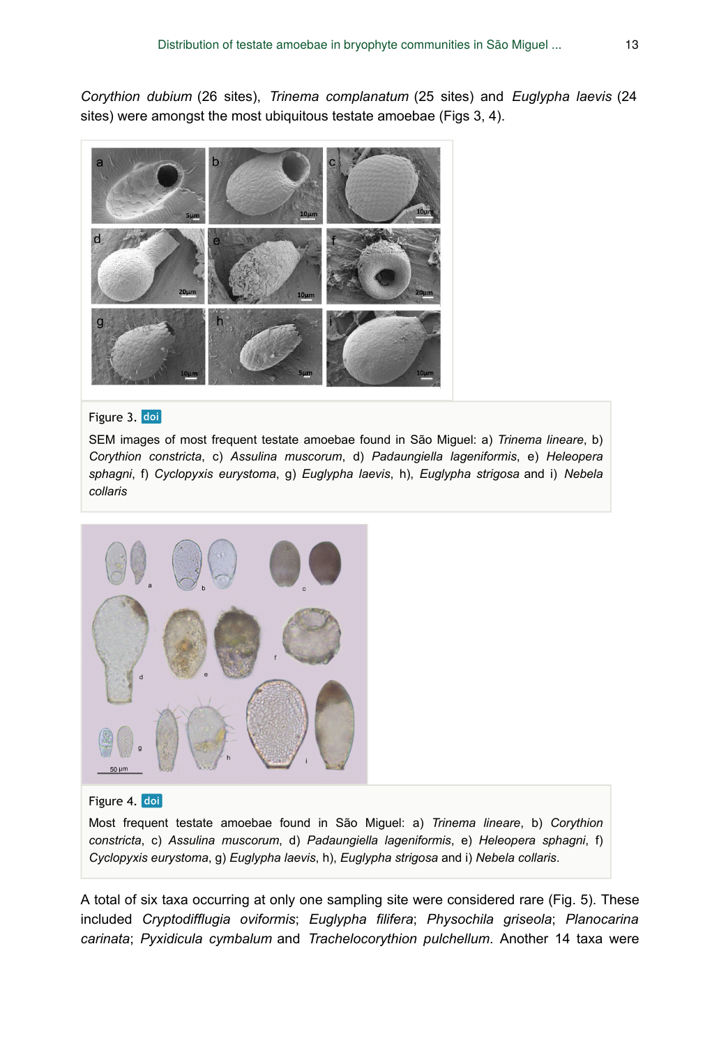*Corythion dubium* (26 sites), *Trinema complanatum* (25 sites) and *Euglypha laevis* (24 sites) were amongst the most ubiquitous testate amoebae (Figs 3, 4).



#### Figure 3. doi

SEM images of most frequent testate amoebae found in São Miguel: a) *Trinema lineare*, b) *Corythion constricta*, c) *Assulina muscorum*, d) *Padaungiella lageniformis*, e) *Heleopera sphagni*, f) *Cyclopyxis eurystoma*, g) *Euglypha laevis*, h), *Euglypha strigosa* and i) *Nebela collaris*



#### Figure 4. doi

Most frequent testate amoebae found in São Miguel: a) *Trinema lineare*, b) *Corythion constricta*, c) *Assulina muscorum*, d) *Padaungiella lageniformis*, e) *Heleopera sphagni*, f) *Cyclopyxis eurystoma*, g) *Euglypha laevis*, h), *Euglypha strigosa* and i) *Nebela collaris*.

A total of six taxa occurring at only one sampling site were considered rare (Fig. 5). These included *Cryptodifflugia oviformis*; *Euglypha filifera*; *Physochila griseola*; *Planocarina carinata*; *Pyxidicula cymbalum* and *Trachelocorythion pulchellum*. Another 14 taxa were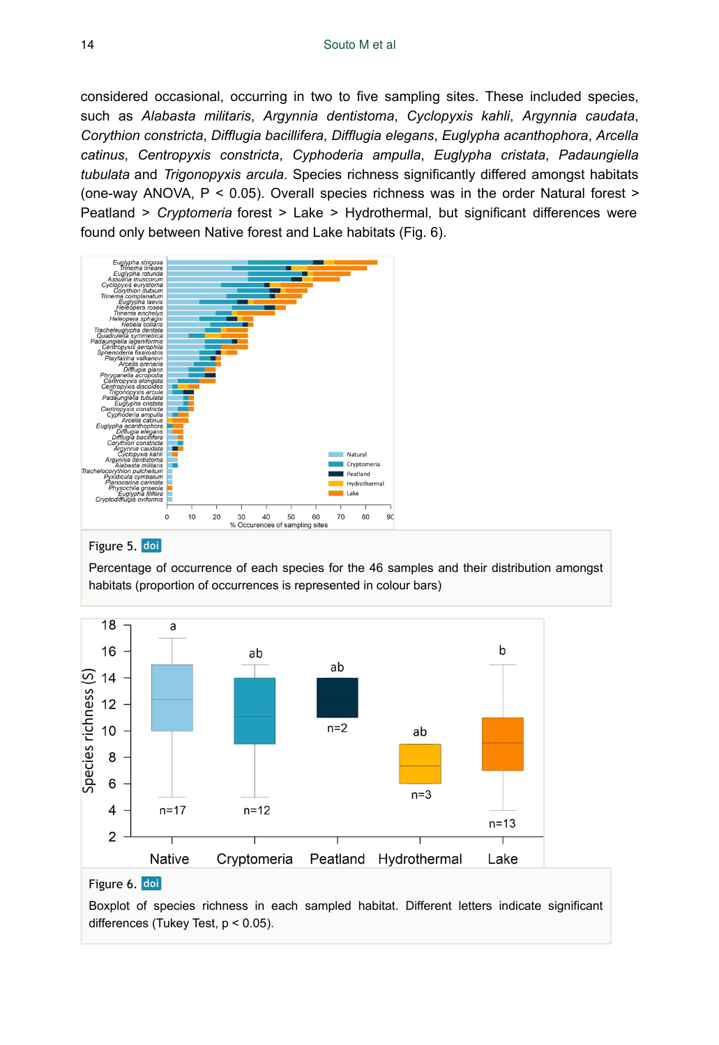considered occasional, occurring in two to five sampling sites. These included species, such as *Alabasta militaris*, *Argynnia dentistoma*, *Cyclopyxis kahli*, *Argynnia caudata*, *Corythion constricta*, *Difflugia bacillifera*, *Difflugia elegans*, *Euglypha acanthophora*, *Arcella catinus*, *Centropyxis constricta*, *Cyphoderia ampulla*, *Euglypha cristata*, *Padaungiella tubulata* and *Trigonopyxis arcula*. Species richness significantly differed amongst habitats (one-way ANOVA,  $P < 0.05$ ). Overall species richness was in the order Natural forest  $>$ Peatland > *Cryptomeria* forest > Lake > Hydrothermal, but significant differences were found only between Native forest and Lake habitats (Fig. 6).



#### Figure 5. doi

Percentage of occurrence of each species for the 46 samples and their distribution amongst habitats (proportion of occurrences is represented in colour bars)



## Figure 6. doi

Boxplot of species richness in each sampled habitat. Different letters indicate significant differences (Tukey Test, p < 0.05).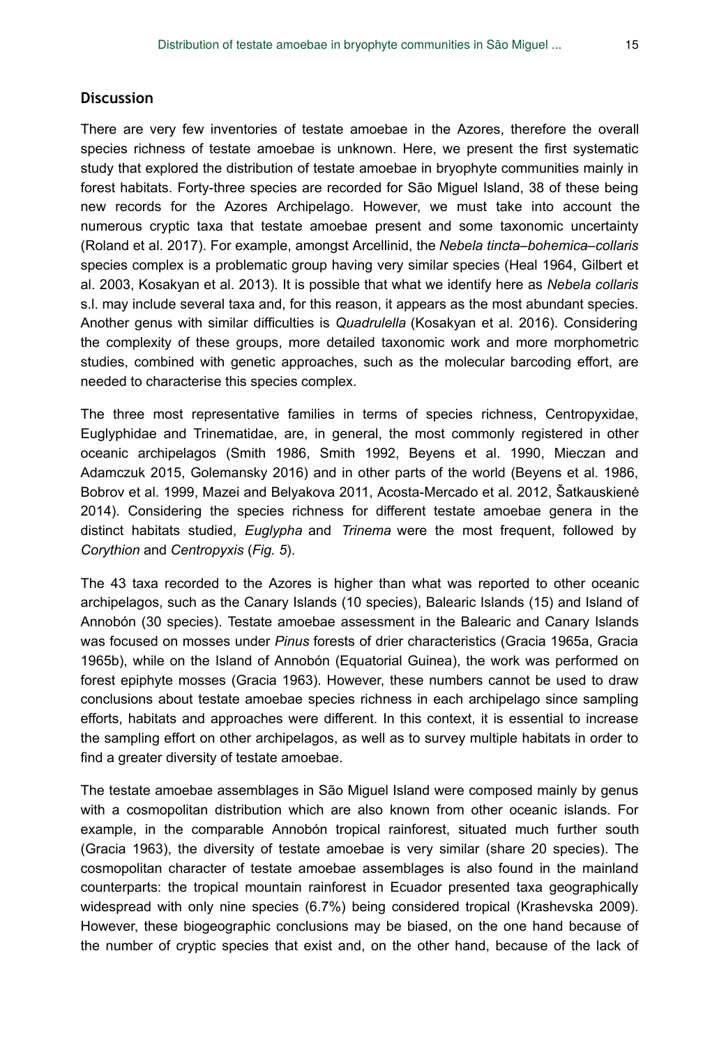#### **Discussion**

There are very few inventories of testate amoebae in the Azores, therefore the overall species richness of testate amoebae is unknown. Here, we present the first systematic study that explored the distribution of testate amoebae in bryophyte communities mainly in forest habitats. Forty-three species are recorded for São Miguel Island, 38 of these being new records for the Azores Archipelago. However, we must take into account the numerous cryptic taxa that testate amoebae present and some taxonomic uncertainty (Roland et al. 2017). For example, amongst Arcellinid, the *Nebela tincta*–*bohemica*–*collaris* species complex is a problematic group having very similar species (Heal 1964, Gilbert et al. 2003, Kosakyan et al. 2013). It is possible that what we identify here as *Nebela collaris* s.l. may include several taxa and, for this reason, it appears as the most abundant species. Another genus with similar difficulties is *Quadrulella* (Kosakyan et al. 2016). Considering the complexity of these groups, more detailed taxonomic work and more morphometric studies, combined with genetic approaches, such as the molecular barcoding effort, are needed to characterise this species complex.

The three most representative families in terms of species richness, Centropyxidae, Euglyphidae and Trinematidae, are, in general, the most commonly registered in other oceanic archipelagos (Smith 1986, Smith 1992, Beyens et al. 1990, Mieczan and Adamczuk 2015, Golemansky 2016) and in other parts of the world (Beyens et al. 1986, Bobrov et al. 1999, Mazei and Belyakova 2011, Acosta-Mercado et al. 2012, Šatkauskienė 2014). Considering the species richness for different testate amoebae genera in the distinct habitats studied, *Euglypha* and *Trinema* were the most frequent, followed by *Corythion* and *Centropyxis* (*Fig. 5*).

The 43 taxa recorded to the Azores is higher than what was reported to other oceanic archipelagos, such as the Canary Islands (10 species), Balearic Islands (15) and Island of Annobón (30 species). Testate amoebae assessment in the Balearic and Canary Islands was focused on mosses under *Pinus* forests of drier characteristics (Gracia 1965a, Gracia 1965b), while on the Island of Annobón (Equatorial Guinea), the work was performed on forest epiphyte mosses (Gracia 1963). However, these numbers cannot be used to draw conclusions about testate amoebae species richness in each archipelago since sampling efforts, habitats and approaches were different. In this context, it is essential to increase the sampling effort on other archipelagos, as well as to survey multiple habitats in order to find a greater diversity of testate amoebae.

The testate amoebae assemblages in São Miguel Island were composed mainly by genus with a cosmopolitan distribution which are also known from other oceanic islands. For example, in the comparable Annobón tropical rainforest, situated much further south (Gracia 1963), the diversity of testate amoebae is very similar (share 20 species). The cosmopolitan character of testate amoebae assemblages is also found in the mainland counterparts: the tropical mountain rainforest in Ecuador presented taxa geographically widespread with only nine species (6.7%) being considered tropical (Krashevska 2009). However, these biogeographic conclusions may be biased, on the one hand because of the number of cryptic species that exist and, on the other hand, because of the lack of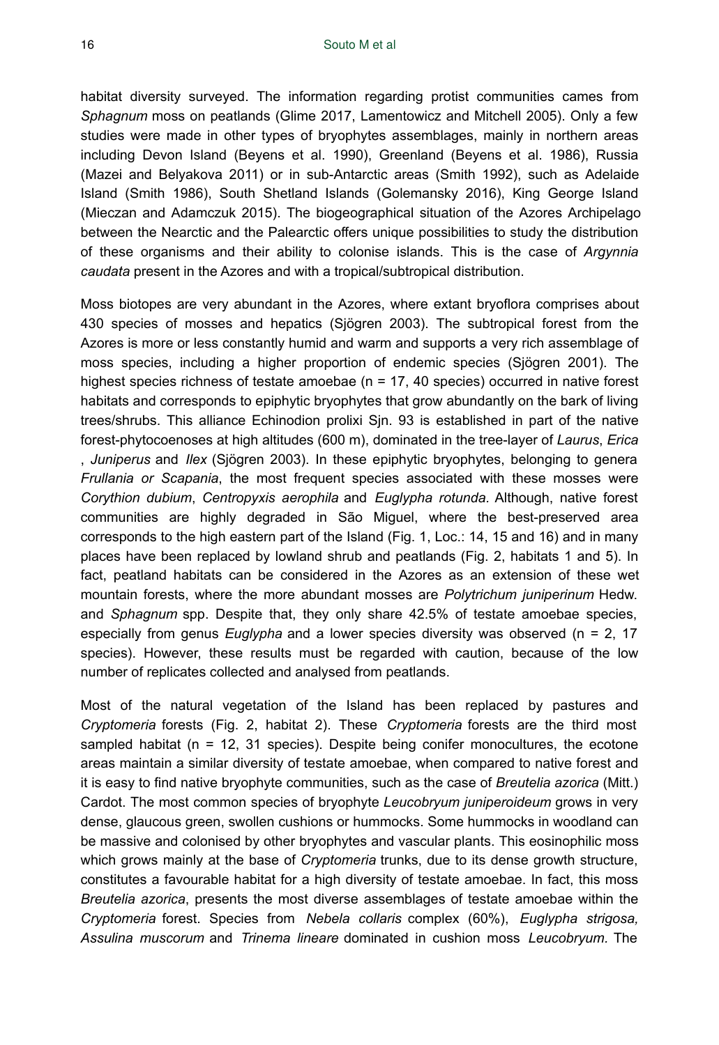habitat diversity surveyed. The information regarding protist communities cames from *Sphagnum* moss on peatlands (Glime 2017, Lamentowicz and Mitchell 2005). Only a few studies were made in other types of bryophytes assemblages, mainly in northern areas including Devon Island (Beyens et al. 1990), Greenland (Beyens et al. 1986), Russia (Mazei and Belyakova 2011) or in sub-Antarctic areas (Smith 1992), such as Adelaide Island (Smith 1986), South Shetland Islands (Golemansky 2016), King George Island (Mieczan and Adamczuk 2015). The biogeographical situation of the Azores Archipelago between the Nearctic and the Palearctic offers unique possibilities to study the distribution of these organisms and their ability to colonise islands. This is the case of *Argynnia caudata* present in the Azores and with a tropical/subtropical distribution.

Moss biotopes are very abundant in the Azores, where extant bryoflora comprises about 430 species of mosses and hepatics (Sjögren 2003). The subtropical forest from the Azores is more or less constantly humid and warm and supports a very rich assemblage of moss species, including a higher proportion of endemic species (Sjögren 2001). The highest species richness of testate amoebae (n = 17, 40 species) occurred in native forest habitats and corresponds to epiphytic bryophytes that grow abundantly on the bark of living trees/shrubs. This alliance Echinodion prolixi Sjn. 93 is established in part of the native forest-phytocoenoses at high altitudes (600 m), dominated in the tree-layer of *Laurus*, *Erica* , *Juniperus* and *Ilex* (Sjögren 2003). In these epiphytic bryophytes, belonging to genera *Frullania or Scapania*, the most frequent species associated with these mosses were *Corythion dubium*, *Centropyxis aerophila* and *Euglypha rotunda.* Although, native forest communities are highly degraded in São Miguel, where the best-preserved area corresponds to the high eastern part of the Island (Fig. 1, Loc.: 14, 15 and 16) and in many places have been replaced by lowland shrub and peatlands (Fig. 2, habitats 1 and 5). In fact, peatland habitats can be considered in the Azores as an extension of these wet mountain forests, where the more abundant mosses are *Polytrichum juniperinum* Hedw. and *Sphagnum* spp. Despite that, they only share 42.5% of testate amoebae species, especially from genus *Euglypha* and a lower species diversity was observed (n = 2, 17 species). However, these results must be regarded with caution, because of the low number of replicates collected and analysed from peatlands.

Most of the natural vegetation of the Island has been replaced by pastures and *Cryptomeria* forests (Fig. 2, habitat 2). These *Cryptomeria* forests are the third most sampled habitat ( $n = 12$ , 31 species). Despite being conifer monocultures, the ecotone areas maintain a similar diversity of testate amoebae, when compared to native forest and it is easy to find native bryophyte communities, such as the case of *Breutelia azorica* (Mitt.) Cardot. The most common species of bryophyte *Leucobryum juniperoideum* grows in very dense, glaucous green, swollen cushions or hummocks. Some hummocks in woodland can be massive and colonised by other bryophytes and vascular plants. This eosinophilic moss which grows mainly at the base of *Cryptomeria* trunks, due to its dense growth structure, constitutes a favourable habitat for a high diversity of testate amoebae. In fact, this moss *Breutelia azorica*, presents the most diverse assemblages of testate amoebae within the *Cryptomeria* forest. Species from *Nebela collaris* complex (60%), *Euglypha strigosa, Assulina muscorum* and *Trinema lineare* dominated in cushion moss *Leucobryum.* The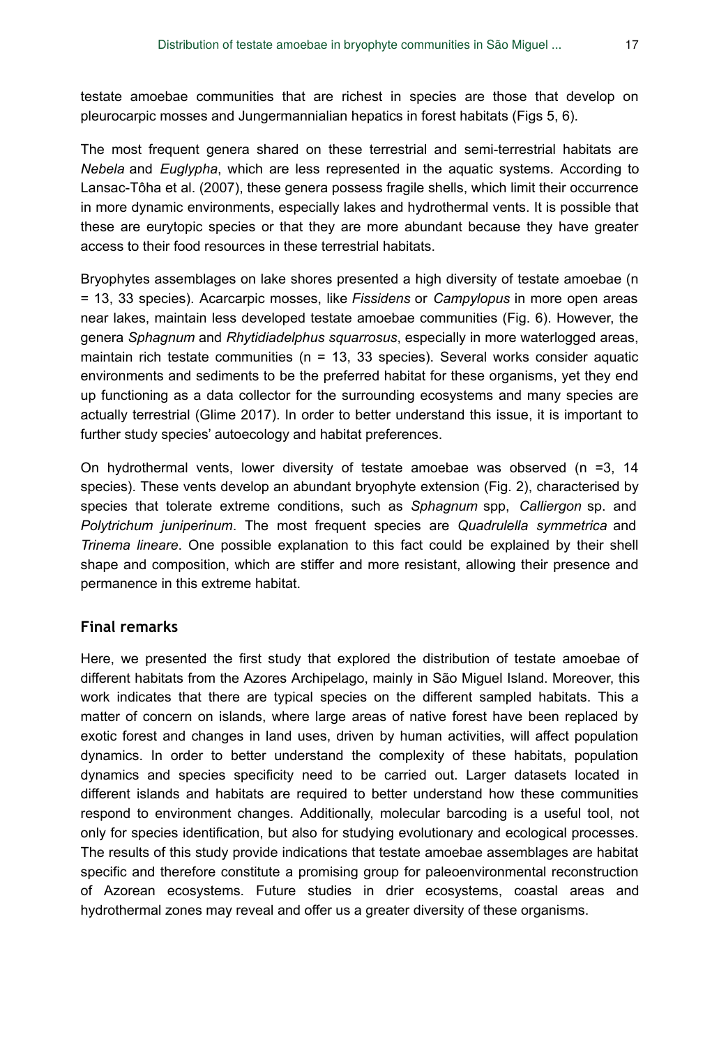testate amoebae communities that are richest in species are those that develop on pleurocarpic mosses and Jungermannialian hepatics in forest habitats (Figs 5, 6).

The most frequent genera shared on these terrestrial and semi-terrestrial habitats are *Nebela* and *Euglypha*, which are less represented in the aquatic systems. According to Lansac-Tôha et al. (2007), these genera possess fragile shells, which limit their occurrence in more dynamic environments, especially lakes and hydrothermal vents. It is possible that these are eurytopic species or that they are more abundant because they have greater access to their food resources in these terrestrial habitats.

Bryophytes assemblages on lake shores presented a high diversity of testate amoebae (n = 13, 33 species). Acarcarpic mosses, like *Fissidens* or *Campylopus* in more open areas near lakes, maintain less developed testate amoebae communities (Fig. 6). However, the genera *Sphagnum* and *Rhytidiadelphus squarrosus*, especially in more waterlogged areas, maintain rich testate communities ( $n = 13$ , 33 species). Several works consider aquatic environments and sediments to be the preferred habitat for these organisms, yet they end up functioning as a data collector for the surrounding ecosystems and many species are actually terrestrial (Glime 2017). In order to better understand this issue, it is important to further study species' autoecology and habitat preferences.

On hydrothermal vents, lower diversity of testate amoebae was observed (n =3, 14 species). These vents develop an abundant bryophyte extension (Fig. 2), characterised by species that tolerate extreme conditions, such as *Sphagnum* spp, *Calliergon* sp. and *Polytrichum juniperinum*. The most frequent species are *Quadrulella symmetrica* and *Trinema lineare*. One possible explanation to this fact could be explained by their shell shape and composition, which are stiffer and more resistant, allowing their presence and permanence in this extreme habitat.

#### **Final remarks**

Here, we presented the first study that explored the distribution of testate amoebae of different habitats from the Azores Archipelago, mainly in São Miguel Island. Moreover, this work indicates that there are typical species on the different sampled habitats. This a matter of concern on islands, where large areas of native forest have been replaced by exotic forest and changes in land uses, driven by human activities, will affect population dynamics. In order to better understand the complexity of these habitats, population dynamics and species specificity need to be carried out. Larger datasets located in different islands and habitats are required to better understand how these communities respond to environment changes. Additionally, molecular barcoding is a useful tool, not only for species identification, but also for studying evolutionary and ecological processes. The results of this study provide indications that testate amoebae assemblages are habitat specific and therefore constitute a promising group for paleoenvironmental reconstruction of Azorean ecosystems. Future studies in drier ecosystems, coastal areas and hydrothermal zones may reveal and offer us a greater diversity of these organisms.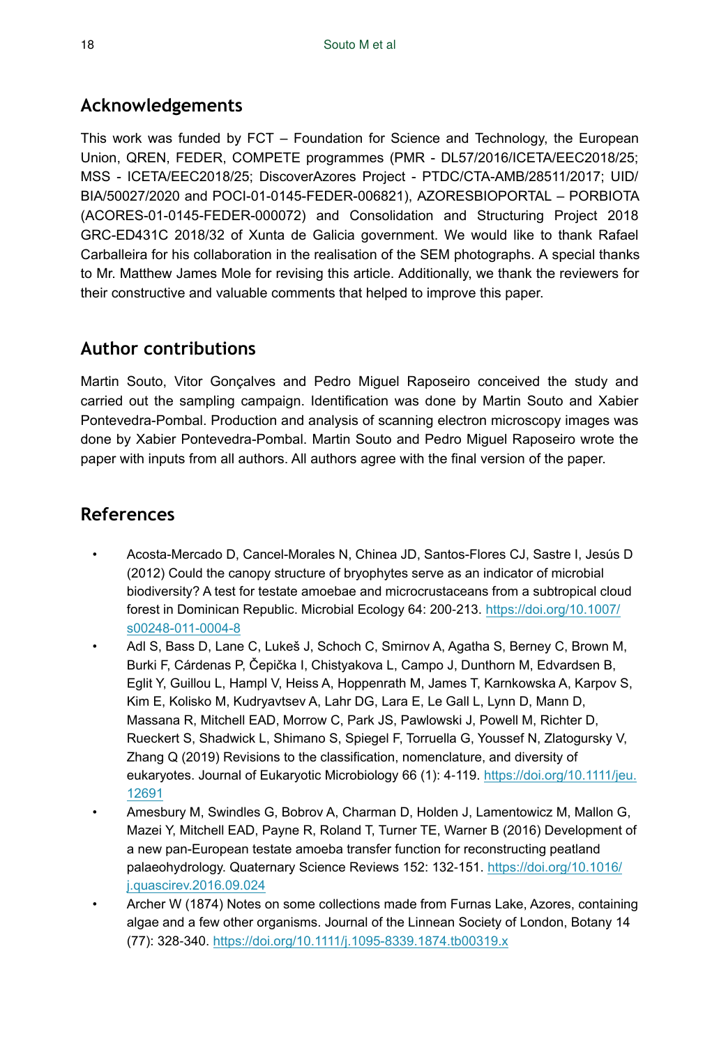# **Acknowledgements**

This work was funded by FCT – Foundation for Science and Technology, the European Union, QREN, FEDER, COMPETE programmes (PMR - DL57/2016/ICETA/EEC2018/25; MSS - ICETA/EEC2018/25; DiscoverAzores Project - PTDC/CTA-AMB/28511/2017; UID/ BIA/50027/2020 and POCI-01-0145-FEDER-006821), AZORESBIOPORTAL – PORBIOTA (ACORES-01-0145-FEDER-000072) and Consolidation and Structuring Project 2018 GRC-ED431C 2018/32 of Xunta de Galicia government. We would like to thank Rafael Carballeira for his collaboration in the realisation of the SEM photographs. A special thanks to Mr. Matthew James Mole for revising this article. Additionally, we thank the reviewers for their constructive and valuable comments that helped to improve this paper.

# **Author contributions**

Martin Souto, Vitor Gonçalves and Pedro Miguel Raposeiro conceived the study and carried out the sampling campaign. Identification was done by Martin Souto and Xabier Pontevedra-Pombal. Production and analysis of scanning electron microscopy images was done by Xabier Pontevedra-Pombal. Martin Souto and Pedro Miguel Raposeiro wrote the paper with inputs from all authors. All authors agree with the final version of the paper.

# **References**

- Acosta-Mercado D, Cancel-Morales N, Chinea JD, Santos-Flores CJ, Sastre I, Jesús D (2012) Could the canopy structure of bryophytes serve as an indicator of microbial biodiversity? A test for testate amoebae and microcrustaceans from a subtropical cloud forest in Dominican Republic. Microbial Ecology 64: 200‑213. [https://doi.org/10.1007/](https://doi.org/10.1007/s00248-011-0004-8) [s00248-011-0004-8](https://doi.org/10.1007/s00248-011-0004-8)
- Adl S, Bass D, Lane C, Lukeš J, Schoch C, Smirnov A, Agatha S, Berney C, Brown M, Burki F, Cárdenas P, Čepička I, Chistyakova L, Campo J, Dunthorn M, Edvardsen B, Eglit Y, Guillou L, Hampl V, Heiss A, Hoppenrath M, James T, Karnkowska A, Karpov S, Kim E, Kolisko M, Kudryavtsev A, Lahr DG, Lara E, Le Gall L, Lynn D, Mann D, Massana R, Mitchell EAD, Morrow C, Park JS, Pawlowski J, Powell M, Richter D, Rueckert S, Shadwick L, Shimano S, Spiegel F, Torruella G, Youssef N, Zlatogursky V, Zhang Q (2019) Revisions to the classification, nomenclature, and diversity of eukaryotes. Journal of Eukaryotic Microbiology 66 (1): 4-119. [https://doi.org/10.1111/jeu.](https://doi.org/10.1111/jeu.12691) [12691](https://doi.org/10.1111/jeu.12691)
- Amesbury M, Swindles G, Bobrov A, Charman D, Holden J, Lamentowicz M, Mallon G, Mazei Y, Mitchell EAD, Payne R, Roland T, Turner TE, Warner B (2016) Development of a new pan-European testate amoeba transfer function for reconstructing peatland palaeohydrology. Quaternary Science Reviews 152: 132‑151. [https://doi.org/10.1016/](https://doi.org/10.1016/j.quascirev.2016.09.024) [j.quascirev.2016.09.024](https://doi.org/10.1016/j.quascirev.2016.09.024)
- Archer W (1874) Notes on some collections made from Furnas Lake, Azores, containing algae and a few other organisms. Journal of the Linnean Society of London, Botany 14 (77): 328‑340. <https://doi.org/10.1111/j.1095-8339.1874.tb00319.x>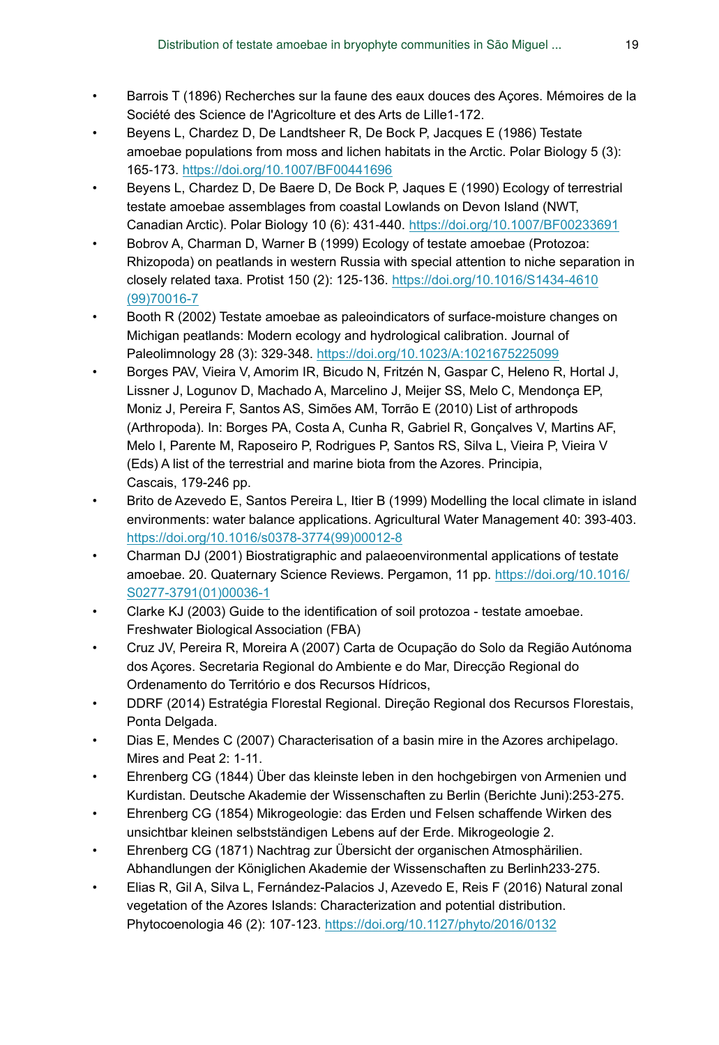- Barrois T (1896) Recherches sur la faune des eaux douces des Açores. Mémoires de la Société des Science de l'Agricolture et des Arts de Lille1-172.
- Beyens L, Chardez D, De Landtsheer R, De Bock P, Jacques E (1986) Testate amoebae populations from moss and lichen habitats in the Arctic. Polar Biology 5 (3): 165‑173. <https://doi.org/10.1007/BF00441696>
- Beyens L, Chardez D, De Baere D, De Bock P, Jaques E (1990) Ecology of terrestrial testate amoebae assemblages from coastal Lowlands on Devon Island (NWT, Canadian Arctic). Polar Biology 10 (6): 431‑440. <https://doi.org/10.1007/BF00233691>
- Bobrov A, Charman D, Warner B (1999) Ecology of testate amoebae (Protozoa: Rhizopoda) on peatlands in western Russia with special attention to niche separation in closely related taxa. Protist 150 (2): 125‑136. [https://doi.org/10.1016/S1434-4610](https://doi.org/10.1016/S1434-4610(99)70016-7) [\(99\)70016-7](https://doi.org/10.1016/S1434-4610(99)70016-7)
- Booth R (2002) Testate amoebae as paleoindicators of surface-moisture changes on Michigan peatlands: Modern ecology and hydrological calibration. Journal of Paleolimnology 28 (3): 329‑348. <https://doi.org/10.1023/A:1021675225099>
- Borges PAV, Vieira V, Amorim IR, Bicudo N, Fritzén N, Gaspar C, Heleno R, Hortal J, Lissner J, Logunov D, Machado A, Marcelino J, Meijer SS, Melo C, Mendonça EP, Moniz J, Pereira F, Santos AS, Simões AM, Torrão E (2010) List of arthropods (Arthropoda). In: Borges PA, Costa A, Cunha R, Gabriel R, Gonçalves V, Martins AF, Melo I, Parente M, Raposeiro P, Rodrigues P, Santos RS, Silva L, Vieira P, Vieira V (Eds) A list of the terrestrial and marine biota from the Azores. Principia, Cascais, 179-246 pp.
- Brito de Azevedo E, Santos Pereira L, Itier B (1999) Modelling the local climate in island environments: water balance applications. Agricultural Water Management 40: 393‑403. [https://doi.org/10.1016/s0378-3774\(99\)00012-8](https://doi.org/10.1016/s0378-3774(99)00012-8)
- Charman DJ (2001) Biostratigraphic and palaeoenvironmental applications of testate amoebae. 20. Quaternary Science Reviews. Pergamon, 11 pp. [https://doi.org/10.1016/](https://doi.org/10.1016/S0277-3791(01)00036-1) [S0277-3791\(01\)00036-1](https://doi.org/10.1016/S0277-3791(01)00036-1)
- Clarke KJ (2003) Guide to the identification of soil protozoa testate amoebae. Freshwater Biological Association (FBA)
- Cruz JV, Pereira R, Moreira A (2007) Carta de Ocupação do Solo da Região Autónoma dos Açores. Secretaria Regional do Ambiente e do Mar, Direcção Regional do Ordenamento do Território e dos Recursos Hídricos,
- DDRF (2014) Estratégia Florestal Regional. Direção Regional dos Recursos Florestais, Ponta Delgada.
- Dias E, Mendes C (2007) Characterisation of a basin mire in the Azores archipelago. Mires and Peat 2: 1‑11.
- Ehrenberg CG (1844) Über das kleinste leben in den hochgebirgen von Armenien und Kurdistan. Deutsche Akademie der Wissenschaften zu Berlin (Berichte Juni):253‑275.
- Ehrenberg CG (1854) Mikrogeologie: das Erden und Felsen schaffende Wirken des unsichtbar kleinen selbstständigen Lebens auf der Erde. Mikrogeologie 2.
- Ehrenberg CG (1871) Nachtrag zur Übersicht der organischen Atmosphärilien. Abhandlungen der Königlichen Akademie der Wissenschaften zu Berlinh233‑275.
- Elias R, Gil A, Silva L, Fernández-Palacios J, Azevedo E, Reis F (2016) Natural zonal vegetation of the Azores Islands: Characterization and potential distribution. Phytocoenologia 46 (2): 107‑123.<https://doi.org/10.1127/phyto/2016/0132>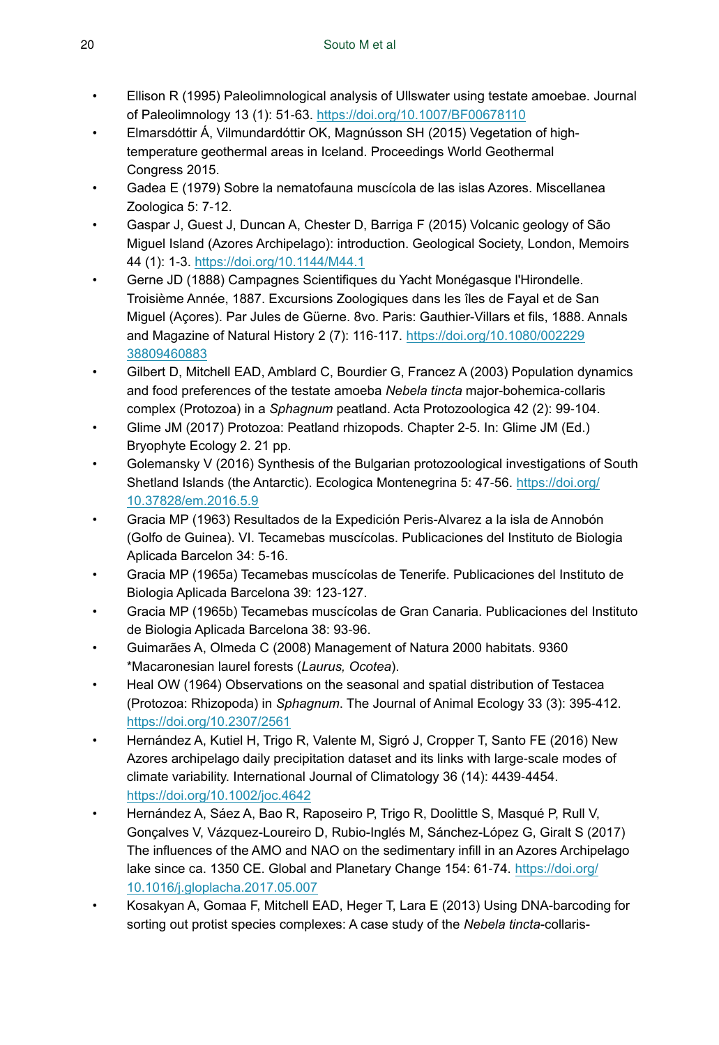- Ellison R (1995) Paleolimnological analysis of Ullswater using testate amoebae. Journal of Paleolimnology 13 (1): 51‑63. <https://doi.org/10.1007/BF00678110>
- Elmarsdóttir Á, Vilmundardóttir OK, Magnússon SH (2015) Vegetation of hightemperature geothermal areas in Iceland. Proceedings World Geothermal Congress 2015.
- Gadea E (1979) Sobre la nematofauna muscícola de las islas Azores. Miscellanea Zoologica 5: 7‑12.
- Gaspar J, Guest J, Duncan A, Chester D, Barriga F (2015) Volcanic geology of São Miguel Island (Azores Archipelago): introduction. Geological Society, London, Memoirs 44 (1): 1‑3. <https://doi.org/10.1144/M44.1>
- Gerne JD (1888) Campagnes Scientifiques du Yacht Monégasque l'Hirondelle. Troisième Année, 1887. Excursions Zoologiques dans les îles de Fayal et de San Miguel (Açores). Par Jules de Güerne. 8vo. Paris: Gauthier-Villars et fils, 1888. Annals and Magazine of Natural History 2 (7): 116-117. [https://doi.org/10.1080/002229](https://doi.org/10.1080/00222938809460883) [38809460883](https://doi.org/10.1080/00222938809460883)
- Gilbert D, Mitchell EAD, Amblard C, Bourdier G, Francez A (2003) Population dynamics and food preferences of the testate amoeba *Nebela tincta* major-bohemica-collaris complex (Protozoa) in a *Sphagnum* peatland. Acta Protozoologica 42 (2): 99-104.
- Glime JM (2017) Protozoa: Peatland rhizopods. Chapter 2-5. In: Glime JM (Ed.) Bryophyte Ecology 2. 21 pp.
- Golemansky V (2016) Synthesis of the Bulgarian protozoological investigations of South Shetland Islands (the Antarctic). Ecologica Montenegrina 5: 47‑56. [https://doi.org/](https://doi.org/10.37828/em.2016.5.9) [10.37828/em.2016.5.9](https://doi.org/10.37828/em.2016.5.9)
- Gracia MP (1963) Resultados de la Expedición Peris-Alvarez a la isla de Annobón (Golfo de Guinea). VI. Tecamebas muscícolas. Publicaciones del Instituto de Biologia Aplicada Barcelon 34: 5‑16.
- Gracia MP (1965a) Tecamebas muscícolas de Tenerife. Publicaciones del Instituto de Biologia Aplicada Barcelona 39: 123‑127.
- Gracia MP (1965b) Tecamebas muscícolas de Gran Canaria. Publicaciones del Instituto de Biologia Aplicada Barcelona 38: 93‑96.
- Guimarães A, Olmeda C (2008) Management of Natura 2000 habitats. 9360 \*Macaronesian laurel forests (*Laurus, Ocotea*).
- Heal OW (1964) Observations on the seasonal and spatial distribution of Testacea (Protozoa: Rhizopoda) in *Sphagnum*. The Journal of Animal Ecology 33 (3): 395‑412. <https://doi.org/10.2307/2561>
- Hernández A, Kutiel H, Trigo R, Valente M, Sigró J, Cropper T, Santo FE (2016) New Azores archipelago daily precipitation dataset and its links with large‐scale modes of climate variability. International Journal of Climatology 36 (14): 4439‑4454. <https://doi.org/10.1002/joc.4642>
- Hernández A, Sáez A, Bao R, Raposeiro P, Trigo R, Doolittle S, Masqué P, Rull V, Gonçalves V, Vázquez-Loureiro D, Rubio-Inglés M, Sánchez-López G, Giralt S (2017) The influences of the AMO and NAO on the sedimentary infill in an Azores Archipelago lake since ca. 1350 CE. Global and Planetary Change 154: 61-74. [https://doi.org/](https://doi.org/10.1016/j.gloplacha.2017.05.007) [10.1016/j.gloplacha.2017.05.007](https://doi.org/10.1016/j.gloplacha.2017.05.007)
- Kosakyan A, Gomaa F, Mitchell EAD, Heger T, Lara E (2013) Using DNA-barcoding for sorting out protist species complexes: A case study of the *Nebela tincta*-collaris-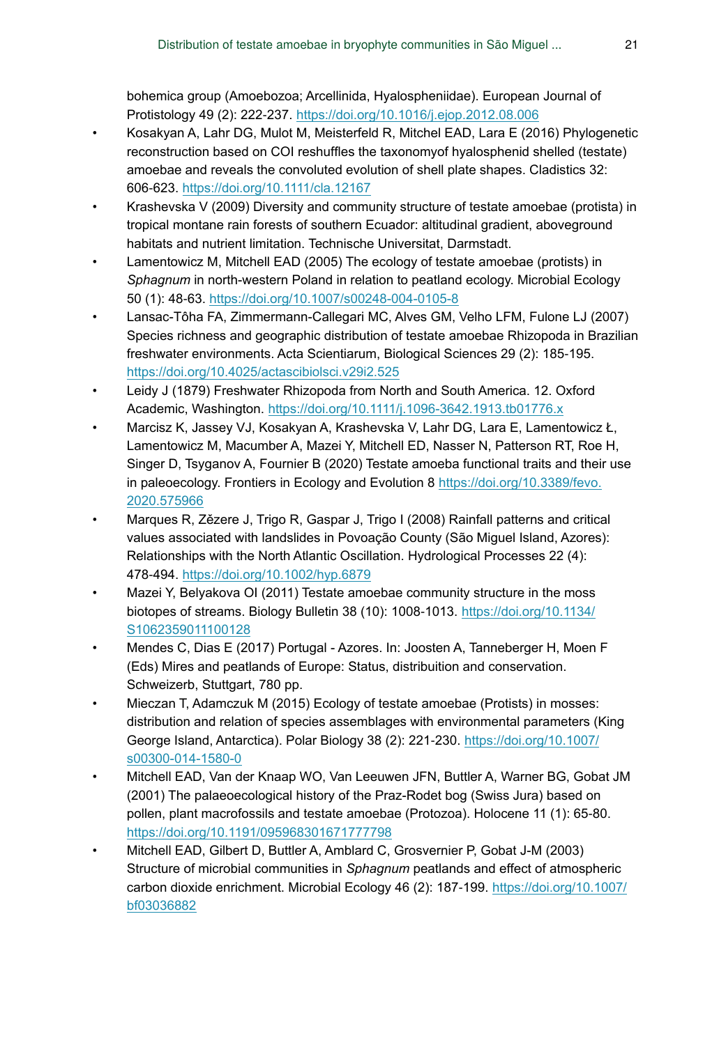bohemica group (Amoebozoa; Arcellinida, Hyalospheniidae). European Journal of Protistology 49 (2): 222‑237. <https://doi.org/10.1016/j.ejop.2012.08.006>

- Kosakyan A, Lahr DG, Mulot M, Meisterfeld R, Mitchel EAD, Lara E (2016) Phylogenetic reconstruction based on COI reshuffles the taxonomyof hyalosphenid shelled (testate) amoebae and reveals the convoluted evolution of shell plate shapes. Cladistics 32: 606‑623. <https://doi.org/10.1111/cla.12167>
- Krashevska V (2009) Diversity and community structure of testate amoebae (protista) in tropical montane rain forests of southern Ecuador: altitudinal gradient, aboveground habitats and nutrient limitation. Technische Universitat, Darmstadt.
- Lamentowicz M, Mitchell EAD (2005) The ecology of testate amoebae (protists) in *Sphagnum* in north-western Poland in relation to peatland ecology. Microbial Ecology 50 (1): 48‑63.<https://doi.org/10.1007/s00248-004-0105-8>
- Lansac-Tôha FA, Zimmermann-Callegari MC, Alves GM, Velho LFM, Fulone LJ (2007) Species richness and geographic distribution of testate amoebae Rhizopoda in Brazilian freshwater environments. Acta Scientiarum, Biological Sciences 29 (2): 185-195. <https://doi.org/10.4025/actascibiolsci.v29i2.525>
- Leidy J (1879) Freshwater Rhizopoda from North and South America. 12. Oxford Academic, Washington.<https://doi.org/10.1111/j.1096-3642.1913.tb01776.x>
- Marcisz K, Jassey VJ, Kosakyan A, Krashevska V, Lahr DG, Lara E, Lamentowicz Ł, Lamentowicz M, Macumber A, Mazei Y, Mitchell ED, Nasser N, Patterson RT, Roe H, Singer D, Tsyganov A, Fournier B (2020) Testate amoeba functional traits and their use in paleoecology. Frontiers in Ecology and Evolution 8 [https://doi.org/10.3389/fevo.](https://doi.org/10.3389/fevo.2020.575966) [2020.575966](https://doi.org/10.3389/fevo.2020.575966)
- Marques R, Zězere J, Trigo R, Gaspar J, Trigo I (2008) Rainfall patterns and critical values associated with landslides in Povoação County (São Miguel Island, Azores): Relationships with the North Atlantic Oscillation. Hydrological Processes 22 (4): 478‑494. <https://doi.org/10.1002/hyp.6879>
- Mazei Y, Belyakova OI (2011) Testate amoebae community structure in the moss biotopes of streams. Biology Bulletin 38 (10): 1008‑1013. [https://doi.org/10.1134/](https://doi.org/10.1134/S1062359011100128) [S1062359011100128](https://doi.org/10.1134/S1062359011100128)
- Mendes C, Dias E (2017) Portugal Azores. In: Joosten A, Tanneberger H, Moen F (Eds) Mires and peatlands of Europe: Status, distribuition and conservation. Schweizerb, Stuttgart, 780 pp.
- Mieczan T, Adamczuk M (2015) Ecology of testate amoebae (Protists) in mosses: distribution and relation of species assemblages with environmental parameters (King George Island, Antarctica). Polar Biology 38 (2): 221‑230. [https://doi.org/10.1007/](https://doi.org/10.1007/s00300-014-1580-0) [s00300-014-1580-0](https://doi.org/10.1007/s00300-014-1580-0)
- Mitchell EAD, Van der Knaap WO, Van Leeuwen JFN, Buttler A, Warner BG, Gobat JM (2001) The palaeoecological history of the Praz-Rodet bog (Swiss Jura) based on pollen, plant macrofossils and testate amoebae (Protozoa). Holocene 11 (1): 65‑80. <https://doi.org/10.1191/095968301671777798>
- Mitchell EAD, Gilbert D, Buttler A, Amblard C, Grosvernier P, Gobat J-M (2003) Structure of microbial communities in *Sphagnum* peatlands and effect of atmospheric carbon dioxide enrichment. Microbial Ecology 46 (2): 187‑199. [https://doi.org/10.1007/](https://doi.org/10.1007/bf03036882) [bf03036882](https://doi.org/10.1007/bf03036882)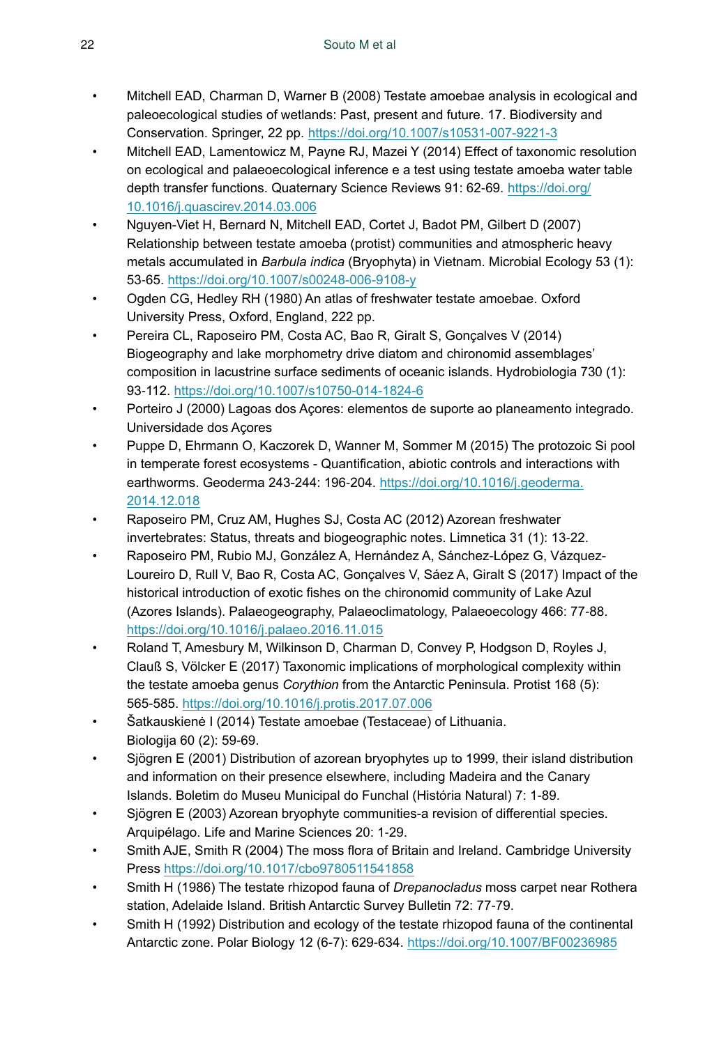- Mitchell EAD, Charman D, Warner B (2008) Testate amoebae analysis in ecological and paleoecological studies of wetlands: Past, present and future. 17. Biodiversity and Conservation. Springer, 22 pp.<https://doi.org/10.1007/s10531-007-9221-3>
- Mitchell EAD, Lamentowicz M, Payne RJ, Mazei Y (2014) Effect of taxonomic resolution on ecological and palaeoecological inference e a test using testate amoeba water table depth transfer functions. Quaternary Science Reviews 91: 62‑69. [https://doi.org/](https://doi.org/10.1016/j.quascirev.2014.03.006) [10.1016/j.quascirev.2014.03.006](https://doi.org/10.1016/j.quascirev.2014.03.006)
- Nguyen-Viet H, Bernard N, Mitchell EAD, Cortet J, Badot PM, Gilbert D (2007) Relationship between testate amoeba (protist) communities and atmospheric heavy metals accumulated in *Barbula indica* (Bryophyta) in Vietnam. Microbial Ecology 53 (1): 53‑65.<https://doi.org/10.1007/s00248-006-9108-y>
- Ogden CG, Hedley RH (1980) An atlas of freshwater testate amoebae. Oxford University Press, Oxford, England, 222 pp.
- Pereira CL, Raposeiro PM, Costa AC, Bao R, Giralt S, Gonçalves V (2014) Biogeography and lake morphometry drive diatom and chironomid assemblages' composition in lacustrine surface sediments of oceanic islands. Hydrobiologia 730 (1): 93‑112.<https://doi.org/10.1007/s10750-014-1824-6>
- Porteiro J (2000) Lagoas dos Açores: elementos de suporte ao planeamento integrado. Universidade dos Açores
- Puppe D, Ehrmann O, Kaczorek D, Wanner M, Sommer M (2015) The protozoic Si pool in temperate forest ecosystems - Quantification, abiotic controls and interactions with earthworms. Geoderma 243-244: 196‑204. [https://doi.org/10.1016/j.geoderma.](https://doi.org/10.1016/j.geoderma.2014.12.018) [2014.12.018](https://doi.org/10.1016/j.geoderma.2014.12.018)
- Raposeiro PM, Cruz AM, Hughes SJ, Costa AC (2012) Azorean freshwater invertebrates: Status, threats and biogeographic notes. Limnetica 31 (1): 13‑22.
- Raposeiro PM, Rubio MJ, González A, Hernández A, Sánchez-López G, Vázquez-Loureiro D, Rull V, Bao R, Costa AC, Gonçalves V, Sáez A, Giralt S (2017) Impact of the historical introduction of exotic fishes on the chironomid community of Lake Azul (Azores Islands). Palaeogeography, Palaeoclimatology, Palaeoecology 466: 77‑88. <https://doi.org/10.1016/j.palaeo.2016.11.015>
- Roland T, Amesbury M, Wilkinson D, Charman D, Convey P, Hodgson D, Royles J, Clauß S, Völcker E (2017) Taxonomic implications of morphological complexity within the testate amoeba genus *Corythion* from the Antarctic Peninsula. Protist 168 (5): 565‑585. <https://doi.org/10.1016/j.protis.2017.07.006>
- Šatkauskienė I (2014) Testate amoebae (Testaceae) of Lithuania. Biologija 60 (2): 59‑69.
- Sjögren E (2001) Distribution of azorean bryophytes up to 1999, their island distribution and information on their presence elsewhere, including Madeira and the Canary Islands. Boletim do Museu Municipal do Funchal (História Natural) 7: 1‑89.
- Sjögren E (2003) Azorean bryophyte communities-a revision of differential species. Arquipélago. Life and Marine Sciences 20: 1‑29.
- Smith AJE, Smith R (2004) The moss flora of Britain and Ireland. Cambridge University Press <https://doi.org/10.1017/cbo9780511541858>
- Smith H (1986) The testate rhizopod fauna of *Drepanocladus* moss carpet near Rothera station, Adelaide Island. British Antarctic Survey Bulletin 72: 77‑79.
- Smith H (1992) Distribution and ecology of the testate rhizopod fauna of the continental Antarctic zone. Polar Biology 12 (6-7): 629‑634. <https://doi.org/10.1007/BF00236985>